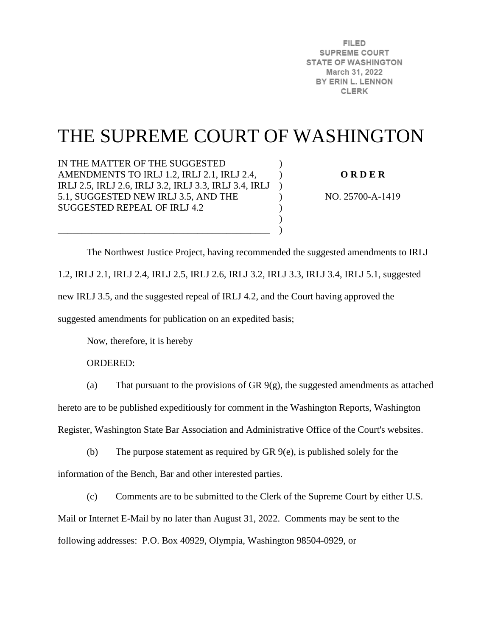**FILED SUPREME COURT STATE OF WASHINGTON** March 31, 2022 BY ERIN L. LENNON **CLERK** 

# THE SUPREME COURT OF WASHINGTON

)  $\lambda$  $\lambda$  $\mathcal{L}$  $\mathcal{L}$  $\mathcal{L}$  $\lambda$ 

IN THE MATTER OF THE SUGGESTED AMENDMENTS TO IRLJ 1.2, IRLJ 2.1, IRLJ 2.4, IRLJ 2.5, IRLJ 2.6, IRLJ 3.2, IRLJ 3.3, IRLJ 3.4, IRLJ 5.1, SUGGESTED NEW IRLJ 3.5, AND THE SUGGESTED REPEAL OF IRLJ 4.2

\_\_\_\_\_\_\_\_\_\_\_\_\_\_\_\_\_\_\_\_\_\_\_\_\_\_\_\_\_\_\_\_\_\_\_\_\_\_\_\_\_\_\_\_

**O R D E R** 

NO. 25700-A-1419

 The Northwest Justice Project, having recommended the suggested amendments to IRLJ 1.2, IRLJ 2.1, IRLJ 2.4, IRLJ 2.5, IRLJ 2.6, IRLJ 3.2, IRLJ 3.3, IRLJ 3.4, IRLJ 5.1, suggested new IRLJ 3.5, and the suggested repeal of IRLJ 4.2, and the Court having approved the suggested amendments for publication on an expedited basis;

Now, therefore, it is hereby

ORDERED:

(a) That pursuant to the provisions of GR  $9(g)$ , the suggested amendments as attached

hereto are to be published expeditiously for comment in the Washington Reports, Washington

Register, Washington State Bar Association and Administrative Office of the Court's websites.

(b) The purpose statement as required by GR 9(e), is published solely for the information of the Bench, Bar and other interested parties.

(c) Comments are to be submitted to the Clerk of the Supreme Court by either U.S. Mail or Internet E-Mail by no later than August 31, 2022. Comments may be sent to the following addresses: P.O. Box 40929, Olympia, Washington 98504-0929, or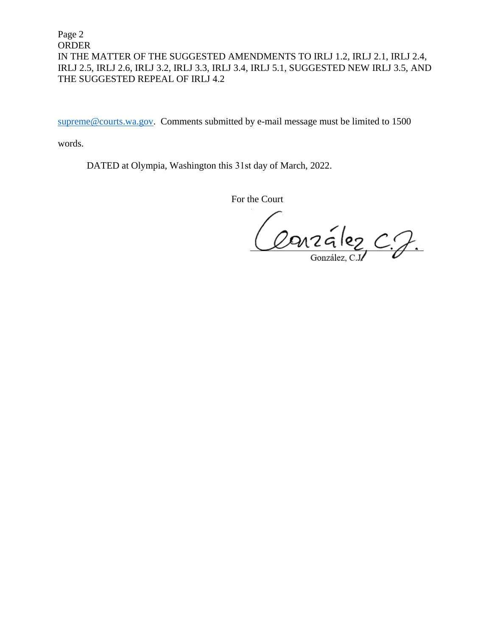Page 2 ORDER IN THE MATTER OF THE SUGGESTED AMENDMENTS TO IRLJ 1.2, IRLJ 2.1, IRLJ 2.4, IRLJ 2.5, IRLJ 2.6, IRLJ 3.2, IRLJ 3.3, IRLJ 3.4, IRLJ 5.1, SUGGESTED NEW IRLJ 3.5, AND THE SUGGESTED REPEAL OF IRLJ 4.2

[supreme@courts.wa.gov.](mailto:supreme@courts.wa.gov) Comments submitted by e-mail message must be limited to 1500

words.

DATED at Olympia, Washington this 31st day of March, 2022.

For the Court

Conzález C.J.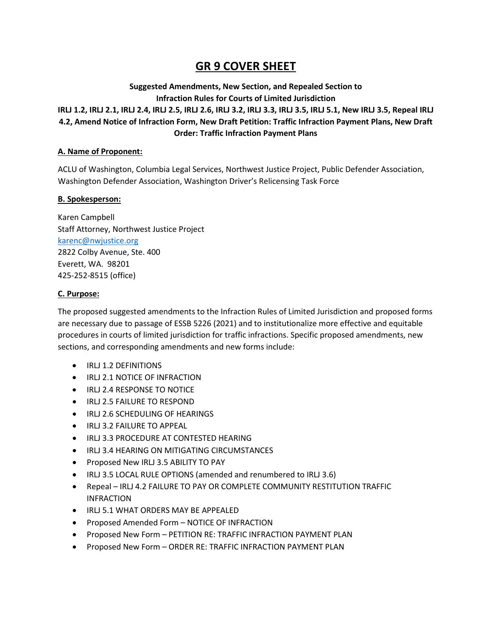### **GR 9 COVER SHEET**

#### **Suggested Amendments, New Section, and Repealed Section to Infraction Rules for Courts of Limited Jurisdiction IRLJ 1.2, IRLJ 2.1, IRLJ 2.4, IRLJ 2.5, IRLJ 2.6, IRLJ 3.2, IRLJ 3.3, IRLJ 3.5, IRLJ 5.1, New IRLJ 3.5, Repeal IRLJ**

### **4.2, Amend Notice of Infraction Form, New Draft Petition: Traffic Infraction Payment Plans, New Draft Order: Traffic Infraction Payment Plans**

#### **A. Name of Proponent:**

ACLU of Washington, Columbia Legal Services, Northwest Justice Project, Public Defender Association, Washington Defender Association, Washington Driver's Relicensing Task Force

#### **B. Spokesperson:**

Karen Campbell Staff Attorney, Northwest Justice Project [karenc@nwjustice.org](mailto:karenc@nwjustice.org) 2822 Colby Avenue, Ste. 400 Everett, WA. 98201 425-252-8515 (office)

#### **C. Purpose:**

The proposed suggested amendments to the Infraction Rules of Limited Jurisdiction and proposed forms are necessary due to passage of ESSB 5226 (2021) and to institutionalize more effective and equitable procedures in courts of limited jurisdiction for traffic infractions. Specific proposed amendments, new sections, and corresponding amendments and new forms include:

- IRLJ 1.2 DEFINITIONS
- IRLJ 2.1 NOTICE OF INFRACTION
- IRLJ 2.4 RESPONSE TO NOTICE
- IRLJ 2.5 FAILURE TO RESPOND
- IRLJ 2.6 SCHEDULING OF HEARINGS
- IRLJ 3.2 FAILURE TO APPEAL
- IRLJ 3.3 PROCEDURE AT CONTESTED HEARING
- IRLJ 3.4 HEARING ON MITIGATING CIRCUMSTANCES
- Proposed New IRLJ 3.5 ABILITY TO PAY
- IRLJ 3.5 LOCAL RULE OPTIONS (amended and renumbered to IRLJ 3.6)
- Repeal IRLJ 4.2 FAILURE TO PAY OR COMPLETE COMMUNITY RESTITUTION TRAFFIC INFRACTION
- IRLJ 5.1 WHAT ORDERS MAY BE APPEALED
- Proposed Amended Form NOTICE OF INFRACTION
- Proposed New Form PETITION RE: TRAFFIC INFRACTION PAYMENT PLAN
- Proposed New Form ORDER RE: TRAFFIC INFRACTION PAYMENT PLAN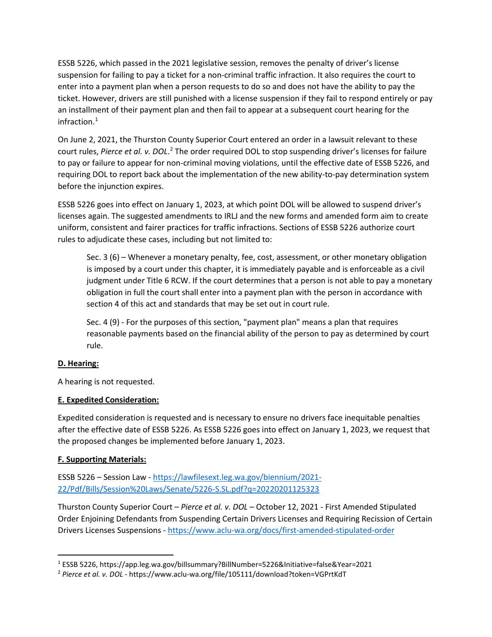ESSB 5226, which passed in the 2021 legislative session, removes the penalty of driver's license suspension for failing to pay a ticket for a non-criminal traffic infraction. It also requires the court to enter into a payment plan when a person requests to do so and does not have the ability to pay the ticket. However, drivers are still punished with a license suspension if they fail to respond entirely or pay an installment of their payment plan and then fail to appear at a subsequent court hearing for the infraction. [1](#page-3-0)

On June 2, 2021, the Thurston County Superior Court entered an order in a lawsuit relevant to these court rules, Pierce et al. v. DOL.<sup>[2](#page-3-1)</sup> The order required DOL to stop suspending driver's licenses for failure to pay or failure to appear for non-criminal moving violations, until the effective date of ESSB 5226, and requiring DOL to report back about the implementation of the new ability-to-pay determination system before the injunction expires.

ESSB 5226 goes into effect on January 1, 2023, at which point DOL will be allowed to suspend driver's licenses again. The suggested amendments to IRLJ and the new forms and amended form aim to create uniform, consistent and fairer practices for traffic infractions. Sections of ESSB 5226 authorize court rules to adjudicate these cases, including but not limited to:

Sec. 3 (6) – Whenever a monetary penalty, fee, cost, assessment, or other monetary obligation is imposed by a court under this chapter, it is immediately payable and is enforceable as a civil judgment under Title 6 RCW. If the court determines that a person is not able to pay a monetary obligation in full the court shall enter into a payment plan with the person in accordance with section 4 of this act and standards that may be set out in court rule.

Sec. 4 (9) - For the purposes of this section, "payment plan" means a plan that requires reasonable payments based on the financial ability of the person to pay as determined by court rule.

#### **D. Hearing:**

A hearing is not requested.

#### **E. Expedited Consideration:**

Expedited consideration is requested and is necessary to ensure no drivers face inequitable penalties after the effective date of ESSB 5226. As ESSB 5226 goes into effect on January 1, 2023, we request that the proposed changes be implemented before January 1, 2023.

#### **F. Supporting Materials:**

ESSB 5226 – Session Law - [https://lawfilesext.leg.wa.gov/biennium/2021-](https://lawfilesext.leg.wa.gov/biennium/2021-22/Pdf/Bills/Session%20Laws/Senate/5226-S.SL.pdf?q=20220201125323) [22/Pdf/Bills/Session%20Laws/Senate/5226-S.SL.pdf?q=20220201125323](https://lawfilesext.leg.wa.gov/biennium/2021-22/Pdf/Bills/Session%20Laws/Senate/5226-S.SL.pdf?q=20220201125323)

Thurston County Superior Court – *Pierce et al. v. DOL* – October 12, 2021 - First Amended Stipulated Order Enjoining Defendants from Suspending Certain Drivers Licenses and Requiring Recission of Certain Drivers Licenses Suspensions - <https://www.aclu-wa.org/docs/first-amended-stipulated-order>

<span id="page-3-0"></span> <sup>1</sup> ESSB 5226, https://app.leg.wa.gov/billsummary?BillNumber=5226&Initiative=false&Year=2021

<span id="page-3-1"></span><sup>2</sup> *Pierce et al. v. DOL* - https://www.aclu-wa.org/file/105111/download?token=VGPrtKdT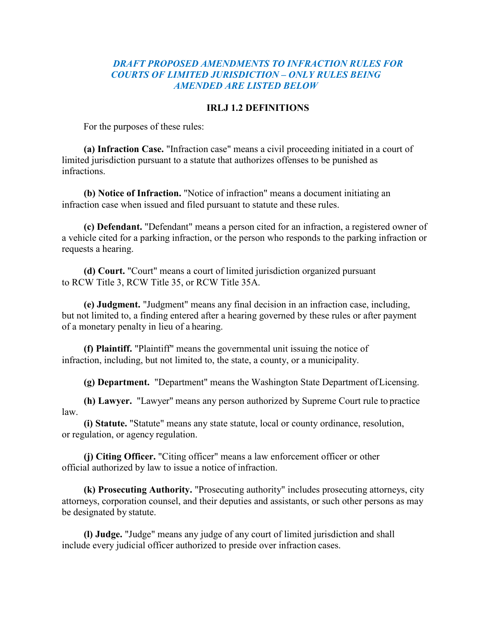#### *DRAFT PROPOSED AMENDMENTS TO INFRACTION RULES FOR COURTS OF LIMITED JURISDICTION – ONLY RULES BEING AMENDED ARE LISTED BELOW*

#### **IRLJ 1.2 DEFINITIONS**

For the purposes of these rules:

**(a) Infraction Case.** "Infraction case" means a civil proceeding initiated in a court of limited jurisdiction pursuant to a statute that authorizes offenses to be punished as infractions.

**(b) Notice of Infraction.** "Notice of infraction" means a document initiating an infraction case when issued and filed pursuant to statute and these rules.

**(c) Defendant.** "Defendant" means a person cited for an infraction, a registered owner of a vehicle cited for a parking infraction, or the person who responds to the parking infraction or requests a hearing.

**(d) Court.** "Court" means a court of limited jurisdiction organized pursuant to RCW Title 3, RCW Title 35, or RCW Title 35A.

**(e) Judgment.** "Judgment" means any final decision in an infraction case, including, but not limited to, a finding entered after a hearing governed by these rules or after payment of a monetary penalty in lieu of a hearing.

**(f) Plaintiff.** "Plaintiff" means the governmental unit issuing the notice of infraction, including, but not limited to, the state, a county, or a municipality.

**(g) Department.** "Department" means the Washington State Department ofLicensing.

**(h) Lawyer.** "Lawyer" means any person authorized by Supreme Court rule to practice law.

**(i) Statute.** "Statute" means any state statute, local or county ordinance, resolution, or regulation, or agency regulation.

**(j) Citing Officer.** "Citing officer" means a law enforcement officer or other official authorized by law to issue a notice of infraction.

**(k) Prosecuting Authority.** "Prosecuting authority" includes prosecuting attorneys, city attorneys, corporation counsel, and their deputies and assistants, or such other persons as may be designated by statute.

**(l) Judge.** "Judge" means any judge of any court of limited jurisdiction and shall include every judicial officer authorized to preside over infraction cases.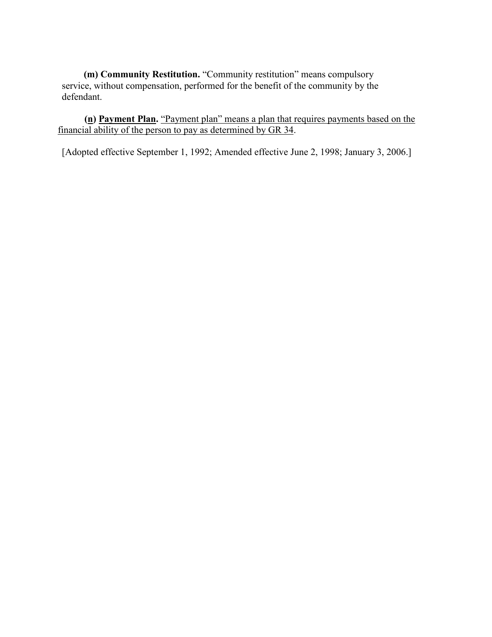**(m) Community Restitution.** "Community restitution" means compulsory service, without compensation, performed for the benefit of the community by the defendant.

 **(n) Payment Plan.** "Payment plan" means a plan that requires payments based on the financial ability of the person to pay as determined by GR 34.

[Adopted effective September 1, 1992; Amended effective June 2, 1998; January 3, 2006.]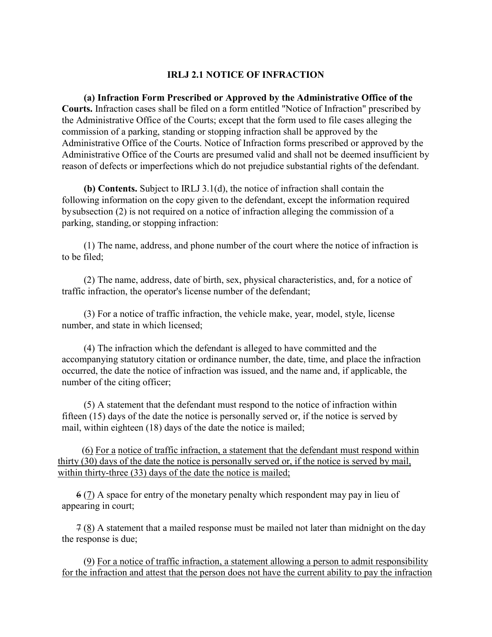#### **IRLJ 2.1 NOTICE OF INFRACTION**

**(a) Infraction Form Prescribed or Approved by the Administrative Office of the Courts.** Infraction cases shall be filed on a form entitled "Notice of Infraction" prescribed by the Administrative Office of the Courts; except that the form used to file cases alleging the commission of a parking, standing or stopping infraction shall be approved by the Administrative Office of the Courts. Notice of Infraction forms prescribed or approved by the Administrative Office of the Courts are presumed valid and shall not be deemed insufficient by reason of defects or imperfections which do not prejudice substantial rights of the defendant.

**(b) Contents.** Subject to IRLJ 3.1(d), the notice of infraction shall contain the following information on the copy given to the defendant, except the information required bysubsection (2) is not required on a notice of infraction alleging the commission of a parking, standing, or stopping infraction:

(1) The name, address, and phone number of the court where the notice of infraction is to be filed;

(2) The name, address, date of birth, sex, physical characteristics, and, for a notice of traffic infraction, the operator's license number of the defendant;

(3) For a notice of traffic infraction, the vehicle make, year, model, style, license number, and state in which licensed;

(4) The infraction which the defendant is alleged to have committed and the accompanying statutory citation or ordinance number, the date, time, and place the infraction occurred, the date the notice of infraction was issued, and the name and, if applicable, the number of the citing officer;

(5) A statement that the defendant must respond to the notice of infraction within fifteen (15) days of the date the notice is personally served or, if the notice is served by mail, within eighteen (18) days of the date the notice is mailed;

 (6) For a notice of traffic infraction, a statement that the defendant must respond within thirty (30) days of the date the notice is personally served or, if the notice is served by mail, within thirty-three (33) days of the date the notice is mailed;

 6 (7) A space for entry of the monetary penalty which respondent may pay in lieu of appearing in court;

 7 (8) A statement that a mailed response must be mailed not later than midnight on the day the response is due;

 (9) For a notice of traffic infraction, a statement allowing a person to admit responsibility for the infraction and attest that the person does not have the current ability to pay the infraction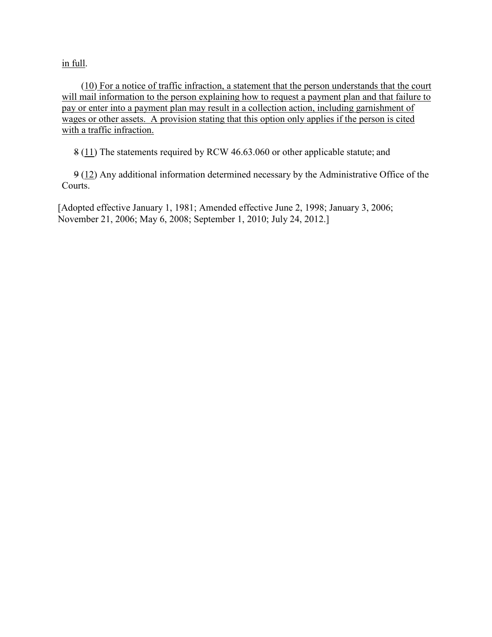in full.

 (10) For a notice of traffic infraction, a statement that the person understands that the court will mail information to the person explaining how to request a payment plan and that failure to pay or enter into a payment plan may result in a collection action, including garnishment of wages or other assets. A provision stating that this option only applies if the person is cited with a traffic infraction.

8 (11) The statements required by RCW 46.63.060 or other applicable statute; and

 9 (12) Any additional information determined necessary by the Administrative Office of the Courts.

[Adopted effective January 1, 1981; Amended effective June 2, 1998; January 3, 2006; November 21, 2006; May 6, 2008; September 1, 2010; July 24, 2012.]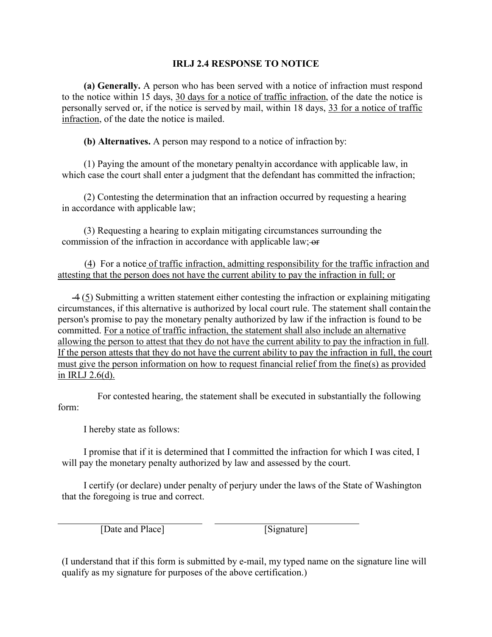#### **IRLJ 2.4 RESPONSE TO NOTICE**

**(a) Generally.** A person who has been served with a notice of infraction must respond to the notice within 15 days, 30 days for a notice of traffic infraction, of the date the notice is personally served or, if the notice is served by mail, within 18 days, 33 for a notice of traffic infraction, of the date the notice is mailed.

**(b) Alternatives.** A person may respond to a notice of infraction by:

(1) Paying the amount of the monetary penaltyin accordance with applicable law, in which case the court shall enter a judgment that the defendant has committed the infraction;

(2) Contesting the determination that an infraction occurred by requesting a hearing in accordance with applicable law;

(3) Requesting a hearing to explain mitigating circumstances surrounding the commission of the infraction in accordance with applicable law; or

 (4) For a notice of traffic infraction, admitting responsibility for the traffic infraction and attesting that the person does not have the current ability to pay the infraction in full; or

 4 (5) Submitting a written statement either contesting the infraction or explaining mitigating circumstances, if this alternative is authorized by local court rule. The statement shall contain the person's promise to pay the monetary penalty authorized by law if the infraction is found to be committed. For a notice of traffic infraction, the statement shall also include an alternative allowing the person to attest that they do not have the current ability to pay the infraction in full. If the person attests that they do not have the current ability to pay the infraction in full, the court must give the person information on how to request financial relief from the fine(s) as provided in IRLJ 2.6(d).

For contested hearing, the statement shall be executed in substantially the following form:

I hereby state as follows:

I promise that if it is determined that I committed the infraction for which I was cited, I will pay the monetary penalty authorized by law and assessed by the court.

I certify (or declare) under penalty of perjury under the laws of the State of Washington that the foregoing is true and correct.

[Date and Place] [Signature]

(I understand that if this form is submitted by e-mail, my typed name on the signature line will qualify as my signature for purposes of the above certification.)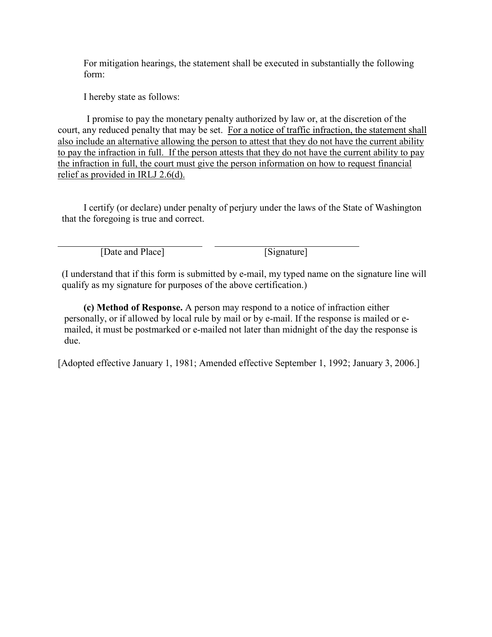For mitigation hearings, the statement shall be executed in substantially the following form:

I hereby state as follows:

I promise to pay the monetary penalty authorized by law or, at the discretion of the court, any reduced penalty that may be set. For a notice of traffic infraction, the statement shall also include an alternative allowing the person to attest that they do not have the current ability to pay the infraction in full. If the person attests that they do not have the current ability to pay the infraction in full, the court must give the person information on how to request financial relief as provided in IRLJ 2.6(d).

I certify (or declare) under penalty of perjury under the laws of the State of Washington that the foregoing is true and correct.

[Date and Place] [Signature]

(I understand that if this form is submitted by e-mail, my typed name on the signature line will qualify as my signature for purposes of the above certification.)

**(c) Method of Response.** A person may respond to a notice of infraction either personally, or if allowed by local rule by mail or by e-mail. If the response is mailed or emailed, it must be postmarked or e-mailed not later than midnight of the day the response is due.

[Adopted effective January 1, 1981; Amended effective September 1, 1992; January 3, 2006.]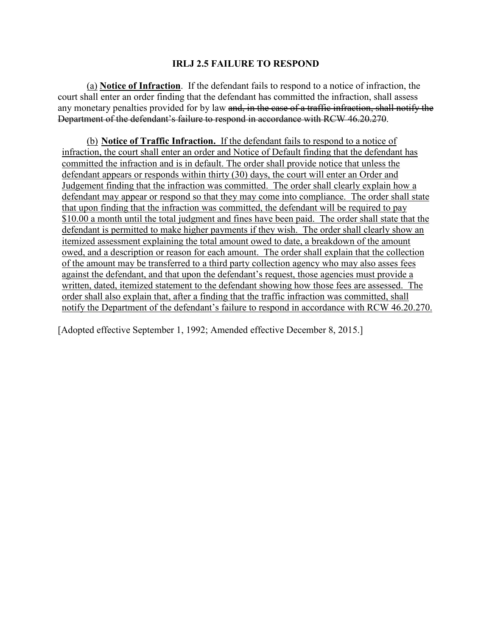#### **IRLJ 2.5 FAILURE TO RESPOND**

(a) **Notice of Infraction**. If the defendant fails to respond to a notice of infraction, the court shall enter an order finding that the defendant has committed the infraction, shall assess any monetary penalties provided for by law and, in the case of a traffic infraction, shall notify the Department of the defendant's failure to respond in accordance with RCW 46.20.270.

(b) **Notice of Traffic Infraction.** If the defendant fails to respond to a notice of infraction, the court shall enter an order and Notice of Default finding that the defendant has committed the infraction and is in default. The order shall provide notice that unless the defendant appears or responds within thirty (30) days, the court will enter an Order and Judgement finding that the infraction was committed. The order shall clearly explain how a defendant may appear or respond so that they may come into compliance. The order shall state that upon finding that the infraction was committed, the defendant will be required to pay \$10.00 a month until the total judgment and fines have been paid. The order shall state that the defendant is permitted to make higher payments if they wish. The order shall clearly show an itemized assessment explaining the total amount owed to date, a breakdown of the amount owed, and a description or reason for each amount. The order shall explain that the collection of the amount may be transferred to a third party collection agency who may also asses fees against the defendant, and that upon the defendant's request, those agencies must provide a written, dated, itemized statement to the defendant showing how those fees are assessed. The order shall also explain that, after a finding that the traffic infraction was committed, shall notify the Department of the defendant's failure to respond in accordance with RCW 46.20.270.

[Adopted effective September 1, 1992; Amended effective December 8, 2015.]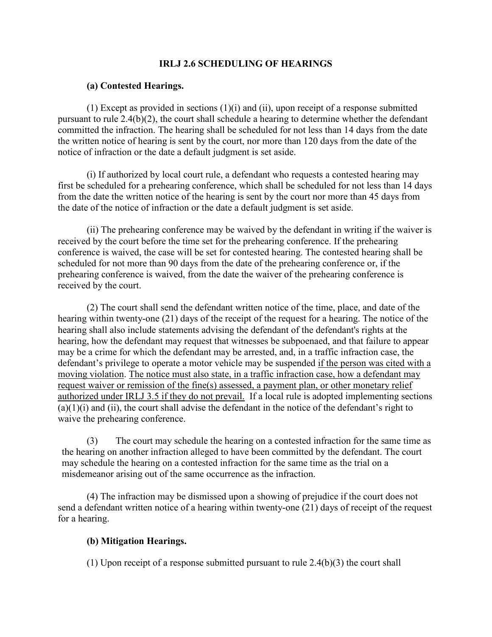#### **IRLJ 2.6 SCHEDULING OF HEARINGS**

#### **(a) Contested Hearings.**

(1) Except as provided in sections (1)(i) and (ii), upon receipt of a response submitted pursuant to rule 2.4(b)(2), the court shall schedule a hearing to determine whether the defendant committed the infraction. The hearing shall be scheduled for not less than 14 days from the date the written notice of hearing is sent by the court, nor more than 120 days from the date of the notice of infraction or the date a default judgment is set aside.

(i) If authorized by local court rule, a defendant who requests a contested hearing may first be scheduled for a prehearing conference, which shall be scheduled for not less than 14 days from the date the written notice of the hearing is sent by the court nor more than 45 days from the date of the notice of infraction or the date a default judgment is set aside.

(ii) The prehearing conference may be waived by the defendant in writing if the waiver is received by the court before the time set for the prehearing conference. If the prehearing conference is waived, the case will be set for contested hearing. The contested hearing shall be scheduled for not more than 90 days from the date of the prehearing conference or, if the prehearing conference is waived, from the date the waiver of the prehearing conference is received by the court.

(2) The court shall send the defendant written notice of the time, place, and date of the hearing within twenty-one (21) days of the receipt of the request for a hearing. The notice of the hearing shall also include statements advising the defendant of the defendant's rights at the hearing, how the defendant may request that witnesses be subpoenaed, and that failure to appear may be a crime for which the defendant may be arrested, and, in a traffic infraction case, the defendant's privilege to operate a motor vehicle may be suspended if the person was cited with a moving violation. The notice must also state, in a traffic infraction case, how a defendant may request waiver or remission of the fine(s) assessed, a payment plan, or other monetary relief authorized under IRLJ 3.5 if they do not prevail. If a local rule is adopted implementing sections  $(a)(1)(i)$  and  $(ii)$ , the court shall advise the defendant in the notice of the defendant's right to waive the prehearing conference.

(3) The court may schedule the hearing on a contested infraction for the same time as the hearing on another infraction alleged to have been committed by the defendant. The court may schedule the hearing on a contested infraction for the same time as the trial on a misdemeanor arising out of the same occurrence as the infraction.

(4) The infraction may be dismissed upon a showing of prejudice if the court does not send a defendant written notice of a hearing within twenty-one (21) days of receipt of the request for a hearing.

#### **(b) Mitigation Hearings.**

(1) Upon receipt of a response submitted pursuant to rule 2.4(b)(3) the court shall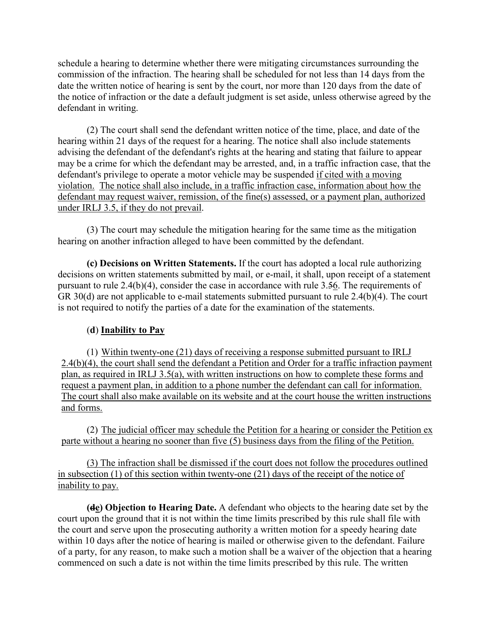schedule a hearing to determine whether there were mitigating circumstances surrounding the commission of the infraction. The hearing shall be scheduled for not less than 14 days from the date the written notice of hearing is sent by the court, nor more than 120 days from the date of the notice of infraction or the date a default judgment is set aside, unless otherwise agreed by the defendant in writing.

(2) The court shall send the defendant written notice of the time, place, and date of the hearing within 21 days of the request for a hearing. The notice shall also include statements advising the defendant of the defendant's rights at the hearing and stating that failure to appear may be a crime for which the defendant may be arrested, and, in a traffic infraction case, that the defendant's privilege to operate a motor vehicle may be suspended if cited with a moving violation. The notice shall also include, in a traffic infraction case, information about how the defendant may request waiver, remission, of the fine(s) assessed, or a payment plan, authorized under IRLJ 3.5, if they do not prevail.

(3) The court may schedule the mitigation hearing for the same time as the mitigation hearing on another infraction alleged to have been committed by the defendant.

**(c) Decisions on Written Statements.** If the court has adopted a local rule authorizing decisions on written statements submitted by mail, or e-mail, it shall, upon receipt of a statement pursuant to rule 2.4(b)(4), consider the case in accordance with rule 3.56. The requirements of GR 30(d) are not applicable to e-mail statements submitted pursuant to rule 2.4(b)(4). The court is not required to notify the parties of a date for the examination of the statements.

#### (**d**) **Inability to Pay**

(1) Within twenty-one (21) days of receiving a response submitted pursuant to IRLJ 2.4(b)(4), the court shall send the defendant a Petition and Order for a traffic infraction payment plan, as required in IRLJ 3.5(a), with written instructions on how to complete these forms and request a payment plan, in addition to a phone number the defendant can call for information. The court shall also make available on its website and at the court house the written instructions and forms.

(2) The judicial officer may schedule the Petition for a hearing or consider the Petition ex parte without a hearing no sooner than five (5) business days from the filing of the Petition.

(3) The infraction shall be dismissed if the court does not follow the procedures outlined in subsection (1) of this section within twenty-one (21) days of the receipt of the notice of inability to pay.

**(de) Objection to Hearing Date.** A defendant who objects to the hearing date set by the court upon the ground that it is not within the time limits prescribed by this rule shall file with the court and serve upon the prosecuting authority a written motion for a speedy hearing date within 10 days after the notice of hearing is mailed or otherwise given to the defendant. Failure of a party, for any reason, to make such a motion shall be a waiver of the objection that a hearing commenced on such a date is not within the time limits prescribed by this rule. The written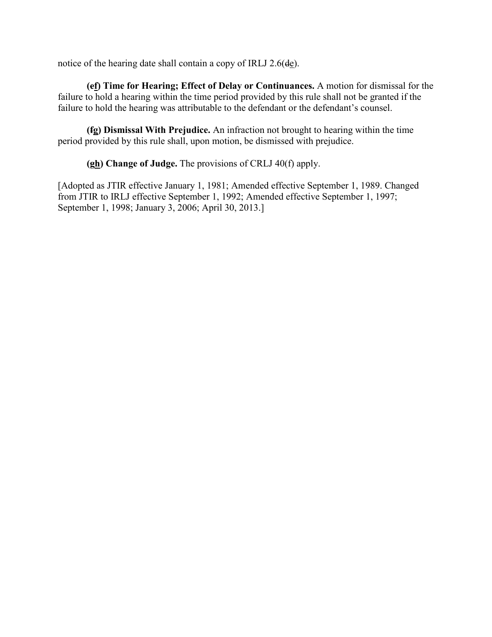notice of the hearing date shall contain a copy of IRLJ 2.6(de).

**(ef) Time for Hearing; Effect of Delay or Continuances.** A motion for dismissal for the failure to hold a hearing within the time period provided by this rule shall not be granted if the failure to hold the hearing was attributable to the defendant or the defendant's counsel.

**(fg) Dismissal With Prejudice.** An infraction not brought to hearing within the time period provided by this rule shall, upon motion, be dismissed with prejudice.

**(gh) Change of Judge.** The provisions of CRLJ 40(f) apply.

[Adopted as JTIR effective January 1, 1981; Amended effective September 1, 1989. Changed from JTIR to IRLJ effective September 1, 1992; Amended effective September 1, 1997; September 1, 1998; January 3, 2006; April 30, 2013.]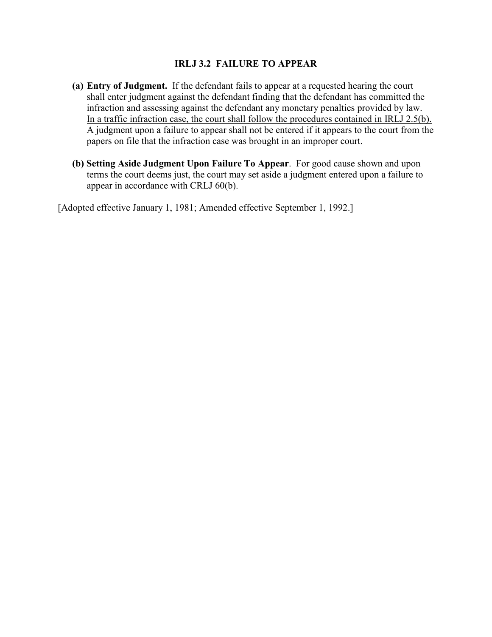#### **IRLJ 3.2 FAILURE TO APPEAR**

- **(a) Entry of Judgment.** If the defendant fails to appear at a requested hearing the court shall enter judgment against the defendant finding that the defendant has committed the infraction and assessing against the defendant any monetary penalties provided by law. In a traffic infraction case, the court shall follow the procedures contained in IRLJ 2.5(b). A judgment upon a failure to appear shall not be entered if it appears to the court from the papers on file that the infraction case was brought in an improper court.
- **(b) Setting Aside Judgment Upon Failure To Appear**. For good cause shown and upon terms the court deems just, the court may set aside a judgment entered upon a failure to appear in accordance with CRLJ 60(b).

[Adopted effective January 1, 1981; Amended effective September 1, 1992.]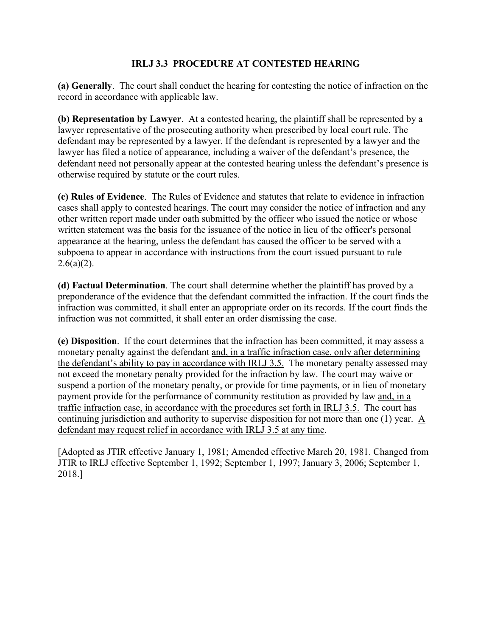#### **IRLJ 3.3 PROCEDURE AT CONTESTED HEARING**

**(a) Generally**. The court shall conduct the hearing for contesting the notice of infraction on the record in accordance with applicable law.

**(b) Representation by Lawyer**. At a contested hearing, the plaintiff shall be represented by a lawyer representative of the prosecuting authority when prescribed by local court rule. The defendant may be represented by a lawyer. If the defendant is represented by a lawyer and the lawyer has filed a notice of appearance, including a waiver of the defendant's presence, the defendant need not personally appear at the contested hearing unless the defendant's presence is otherwise required by statute or the court rules.

**(c) Rules of Evidence**. The Rules of Evidence and statutes that relate to evidence in infraction cases shall apply to contested hearings. The court may consider the notice of infraction and any other written report made under oath submitted by the officer who issued the notice or whose written statement was the basis for the issuance of the notice in lieu of the officer's personal appearance at the hearing, unless the defendant has caused the officer to be served with a subpoena to appear in accordance with instructions from the court issued pursuant to rule  $2.6(a)(2)$ .

**(d) Factual Determination**. The court shall determine whether the plaintiff has proved by a preponderance of the evidence that the defendant committed the infraction. If the court finds the infraction was committed, it shall enter an appropriate order on its records. If the court finds the infraction was not committed, it shall enter an order dismissing the case.

**(e) Disposition**. If the court determines that the infraction has been committed, it may assess a monetary penalty against the defendant and, in a traffic infraction case, only after determining the defendant's ability to pay in accordance with IRLJ 3.5. The monetary penalty assessed may not exceed the monetary penalty provided for the infraction by law. The court may waive or suspend a portion of the monetary penalty, or provide for time payments, or in lieu of monetary payment provide for the performance of community restitution as provided by law and, in a traffic infraction case, in accordance with the procedures set forth in IRLJ 3.5. The court has continuing jurisdiction and authority to supervise disposition for not more than one (1) year. A defendant may request relief in accordance with IRLJ 3.5 at any time.

[Adopted as JTIR effective January 1, 1981; Amended effective March 20, 1981. Changed from JTIR to IRLJ effective September 1, 1992; September 1, 1997; January 3, 2006; September 1, 2018.]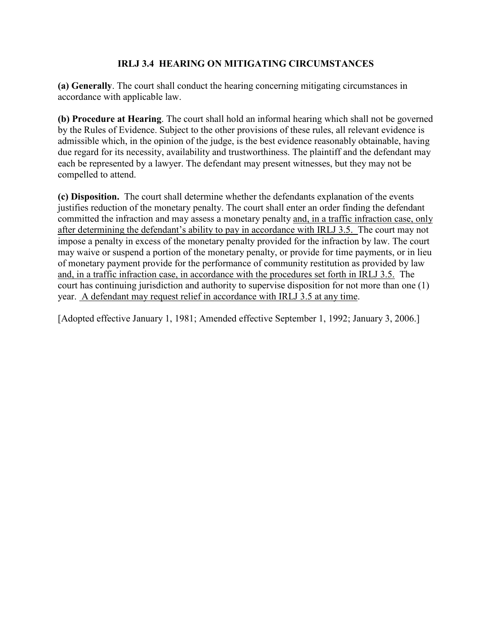#### **IRLJ 3.4 HEARING ON MITIGATING CIRCUMSTANCES**

**(a) Generally**. The court shall conduct the hearing concerning mitigating circumstances in accordance with applicable law.

**(b) Procedure at Hearing**. The court shall hold an informal hearing which shall not be governed by the Rules of Evidence. Subject to the other provisions of these rules, all relevant evidence is admissible which, in the opinion of the judge, is the best evidence reasonably obtainable, having due regard for its necessity, availability and trustworthiness. The plaintiff and the defendant may each be represented by a lawyer. The defendant may present witnesses, but they may not be compelled to attend.

**(c) Disposition.** The court shall determine whether the defendants explanation of the events justifies reduction of the monetary penalty. The court shall enter an order finding the defendant committed the infraction and may assess a monetary penalty and, in a traffic infraction case, only after determining the defendant's ability to pay in accordance with IRLJ 3.5. The court may not impose a penalty in excess of the monetary penalty provided for the infraction by law. The court may waive or suspend a portion of the monetary penalty, or provide for time payments, or in lieu of monetary payment provide for the performance of community restitution as provided by law and, in a traffic infraction case, in accordance with the procedures set forth in IRLJ 3.5. The court has continuing jurisdiction and authority to supervise disposition for not more than one (1) year. A defendant may request relief in accordance with IRLJ 3.5 at any time.

[Adopted effective January 1, 1981; Amended effective September 1, 1992; January 3, 2006.]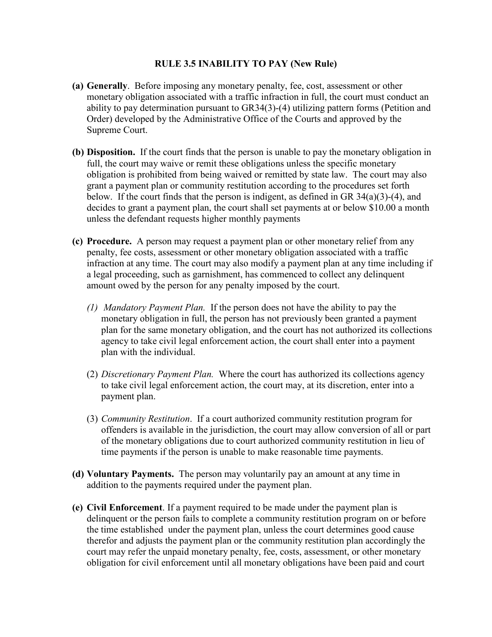#### **RULE 3.5 INABILITY TO PAY (New Rule)**

- **(a) Generally**. Before imposing any monetary penalty, fee, cost, assessment or other monetary obligation associated with a traffic infraction in full, the court must conduct an ability to pay determination pursuant to GR34(3)-(4) utilizing pattern forms (Petition and Order) developed by the Administrative Office of the Courts and approved by the Supreme Court.
- **(b) Disposition.** If the court finds that the person is unable to pay the monetary obligation in full, the court may waive or remit these obligations unless the specific monetary obligation is prohibited from being waived or remitted by state law. The court may also grant a payment plan or community restitution according to the procedures set forth below. If the court finds that the person is indigent, as defined in GR 34(a)(3)-(4), and decides to grant a payment plan, the court shall set payments at or below \$10.00 a month unless the defendant requests higher monthly payments
- **(c) Procedure.** A person may request a payment plan or other monetary relief from any penalty, fee costs, assessment or other monetary obligation associated with a traffic infraction at any time. The court may also modify a payment plan at any time including if a legal proceeding, such as garnishment, has commenced to collect any delinquent amount owed by the person for any penalty imposed by the court.
	- *(1) Mandatory Payment Plan.* If the person does not have the ability to pay the monetary obligation in full, the person has not previously been granted a payment plan for the same monetary obligation, and the court has not authorized its collections agency to take civil legal enforcement action, the court shall enter into a payment plan with the individual.
	- (2) *Discretionary Payment Plan.* Where the court has authorized its collections agency to take civil legal enforcement action, the court may, at its discretion, enter into a payment plan.
	- (3) *Community Restitution*. If a court authorized community restitution program for offenders is available in the jurisdiction, the court may allow conversion of all or part of the monetary obligations due to court authorized community restitution in lieu of time payments if the person is unable to make reasonable time payments.
- **(d) Voluntary Payments.** The person may voluntarily pay an amount at any time in addition to the payments required under the payment plan.
- **(e) Civil Enforcement**. If a payment required to be made under the payment plan is delinquent or the person fails to complete a community restitution program on or before the time established under the payment plan, unless the court determines good cause therefor and adjusts the payment plan or the community restitution plan accordingly the court may refer the unpaid monetary penalty, fee, costs, assessment, or other monetary obligation for civil enforcement until all monetary obligations have been paid and court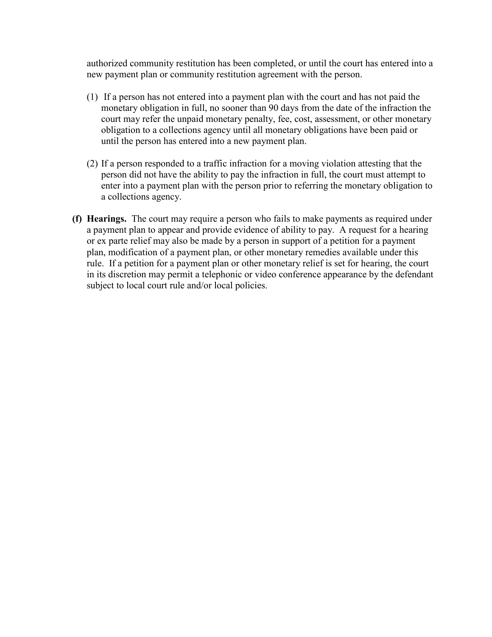authorized community restitution has been completed, or until the court has entered into a new payment plan or community restitution agreement with the person.

- (1) If a person has not entered into a payment plan with the court and has not paid the monetary obligation in full, no sooner than 90 days from the date of the infraction the court may refer the unpaid monetary penalty, fee, cost, assessment, or other monetary obligation to a collections agency until all monetary obligations have been paid or until the person has entered into a new payment plan.
- (2) If a person responded to a traffic infraction for a moving violation attesting that the person did not have the ability to pay the infraction in full, the court must attempt to enter into a payment plan with the person prior to referring the monetary obligation to a collections agency.
- **(f) Hearings.** The court may require a person who fails to make payments as required under a payment plan to appear and provide evidence of ability to pay. A request for a hearing or ex parte relief may also be made by a person in support of a petition for a payment plan, modification of a payment plan, or other monetary remedies available under this rule. If a petition for a payment plan or other monetary relief is set for hearing, the court in its discretion may permit a telephonic or video conference appearance by the defendant subject to local court rule and/or local policies.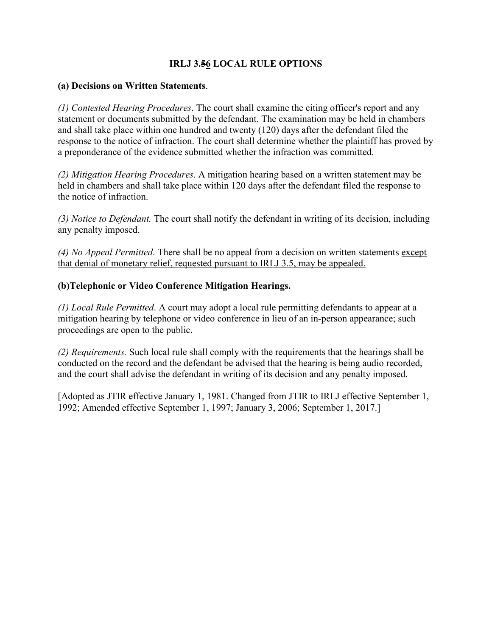### **IRLJ 3.56 LOCAL RULE OPTIONS**

#### **(a) Decisions on Written Statements**.

*(1) Contested Hearing Procedures*. The court shall examine the citing officer's report and any statement or documents submitted by the defendant. The examination may be held in chambers and shall take place within one hundred and twenty (120) days after the defendant filed the response to the notice of infraction. The court shall determine whether the plaintiff has proved by a preponderance of the evidence submitted whether the infraction was committed.

*(2) Mitigation Hearing Procedures*. A mitigation hearing based on a written statement may be held in chambers and shall take place within 120 days after the defendant filed the response to the notice of infraction.

*(3) Notice to Defendant.* The court shall notify the defendant in writing of its decision, including any penalty imposed.

*(4) No Appeal Permitted*. There shall be no appeal from a decision on written statements except that denial of monetary relief, requested pursuant to IRLJ 3.5, may be appealed.

#### **(b)Telephonic or Video Conference Mitigation Hearings.**

*(1) Local Rule Permitted*. A court may adopt a local rule permitting defendants to appear at a mitigation hearing by telephone or video conference in lieu of an in-person appearance; such proceedings are open to the public.

*(2) Requirements.* Such local rule shall comply with the requirements that the hearings shall be conducted on the record and the defendant be advised that the hearing is being audio recorded, and the court shall advise the defendant in writing of its decision and any penalty imposed.

[Adopted as JTIR effective January 1, 1981. Changed from JTIR to IRLJ effective September 1, 1992; Amended effective September 1, 1997; January 3, 2006; September 1, 2017.]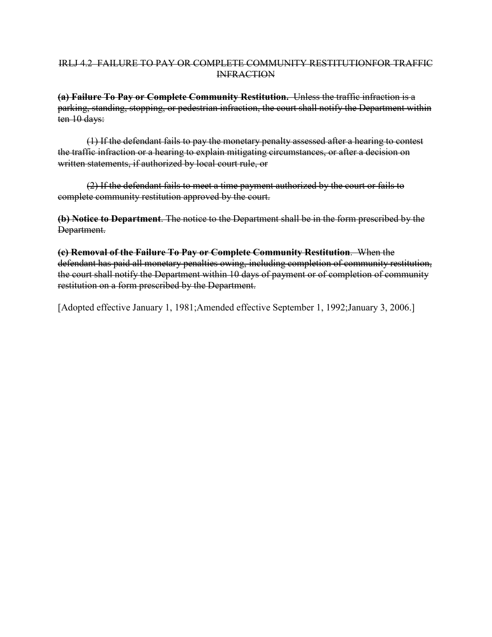#### IRLJ 4.2 FAILURE TO PAY OR COMPLETE COMMUNITY RESTITUTIONFOR TRAFFIC **INFRACTION**

**(a) Failure To Pay or Complete Community Restitution.** Unless the traffic infraction is a parking, standing, stopping, or pedestrian infraction, the court shall notify the Department within ten 10 days:

(1) If the defendant fails to pay the monetary penalty assessed after a hearing to contest the traffic infraction or a hearing to explain mitigating circumstances, or after a decision on written statements, if authorized by local court rule, or

(2) If the defendant fails to meet a time payment authorized by the court or fails to complete community restitution approved by the court.

**(b) Notice to Department**. The notice to the Department shall be in the form prescribed by the Department.

**(c) Removal of the Failure To Pay or Complete Community Restitution**. When the defendant has paid all monetary penalties owing, including completion of community restitution, the court shall notify the Department within 10 days of payment or of completion of community restitution on a form prescribed by the Department.

[Adopted effective January 1, 1981;Amended effective September 1, 1992;January 3, 2006.]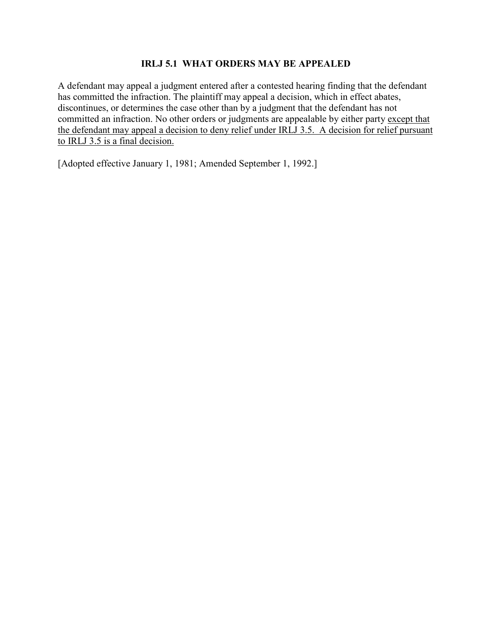#### **IRLJ 5.1 WHAT ORDERS MAY BE APPEALED**

A defendant may appeal a judgment entered after a contested hearing finding that the defendant has committed the infraction. The plaintiff may appeal a decision, which in effect abates, discontinues, or determines the case other than by a judgment that the defendant has not committed an infraction. No other orders or judgments are appealable by either party except that the defendant may appeal a decision to deny relief under IRLJ 3.5. A decision for relief pursuant to IRLJ 3.5 is a final decision.

[Adopted effective January 1, 1981; Amended September 1, 1992.]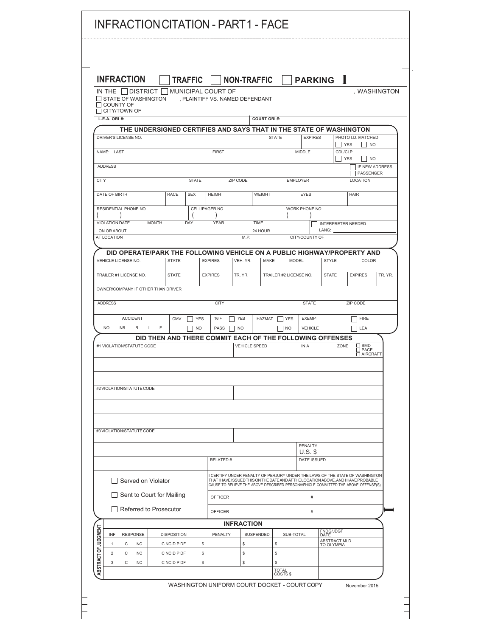|                      |                                      | <b>INFRACTION</b>                                                                                                |                   |                                                                         | <b>TRAFFIC</b> |                    | <b>NON-TRAFFIC</b>              |                      |                         |                      | <b>PARKING</b> I   |                            |                                                                                                                                                                                                                                                           |                             |
|----------------------|--------------------------------------|------------------------------------------------------------------------------------------------------------------|-------------------|-------------------------------------------------------------------------|----------------|--------------------|---------------------------------|----------------------|-------------------------|----------------------|--------------------|----------------------------|-----------------------------------------------------------------------------------------------------------------------------------------------------------------------------------------------------------------------------------------------------------|-----------------------------|
|                      |                                      | IN THE $\vert$ DISTRICT $\vert$ $\vert$<br>$\Box$ STATE OF WASHINGTON<br>$\Box$ COUNTY OF<br>$\Box$ CITY/TOWN OF |                   |                                                                         |                | MUNICIPAL COURT OF | , PLAINTIFF VS. NAMED DEFENDANT |                      |                         |                      |                    |                            |                                                                                                                                                                                                                                                           | , WASHINGTON                |
|                      | L.E.A. ORI #:                        |                                                                                                                  |                   |                                                                         |                |                    |                                 | <b>COURT ORI#:</b>   |                         |                      |                    |                            |                                                                                                                                                                                                                                                           |                             |
|                      |                                      | DRIVER'S LICENSE NO.                                                                                             |                   | THE UNDERSIGNED CERTIFIES AND SAYS THAT IN THE STATE OF WASHINGTON      |                |                    |                                 |                      | <b>STATE</b>            |                      | <b>EXPIRES</b>     |                            | PHOTO I.D. MATCHED                                                                                                                                                                                                                                        |                             |
|                      | NAME: LAST                           |                                                                                                                  |                   |                                                                         |                | <b>FIRST</b>       |                                 |                      |                         | <b>MIDDLE</b>        |                    | II YES<br>CDL/CLP          | I NO                                                                                                                                                                                                                                                      |                             |
|                      |                                      |                                                                                                                  |                   |                                                                         |                |                    |                                 |                      |                         |                      |                    |                            | $\Box$ No<br><b>YES</b>                                                                                                                                                                                                                                   |                             |
|                      | <b>ADDRESS</b>                       |                                                                                                                  |                   |                                                                         |                |                    |                                 |                      |                         |                      |                    |                            |                                                                                                                                                                                                                                                           | IF NEW ADDRESS<br>PASSENGER |
| <b>CITY</b>          |                                      |                                                                                                                  |                   |                                                                         | <b>STATE</b>   |                    | ZIP CODE                        |                      |                         | <b>EMPLOYER</b>      |                    |                            | LOCATION                                                                                                                                                                                                                                                  |                             |
|                      | DATE OF BIRTH                        |                                                                                                                  |                   | <b>RACE</b>                                                             | <b>SEX</b>     | <b>HEIGHT</b>      |                                 | <b>WEIGHT</b>        |                         | <b>EYES</b>          |                    |                            | <b>HAIR</b>                                                                                                                                                                                                                                               |                             |
|                      |                                      | RESIDENTIAL PHONE NO.                                                                                            |                   |                                                                         |                | CELL/PAGER NO.     |                                 |                      |                         | WORK PHONE NO.       |                    |                            |                                                                                                                                                                                                                                                           |                             |
|                      | <b>VIOLATION DATE</b><br>ON OR ABOUT |                                                                                                                  | <b>MONTH</b>      |                                                                         | DAY            | <b>YEAR</b>        |                                 | TIME<br>24 HOUR      |                         |                      | LANG:              |                            | <b>INTERPRETER NEEDED</b>                                                                                                                                                                                                                                 |                             |
|                      | AT LOCATION                          |                                                                                                                  |                   |                                                                         |                |                    | M.P.                            |                      |                         | CITY/COUNTY OF       |                    |                            |                                                                                                                                                                                                                                                           |                             |
|                      |                                      |                                                                                                                  |                   | DID OPERATE/PARK THE FOLLOWING VEHICLE ON A PUBLIC HIGHWAY/PROPERTY AND |                |                    |                                 |                      |                         |                      |                    |                            |                                                                                                                                                                                                                                                           |                             |
|                      |                                      | VEHICLE LICENSE NO.                                                                                              |                   | <b>STATE</b>                                                            |                | <b>EXPIRES</b>     | VEH. YR.                        | <b>MAKE</b>          |                         | <b>MODEL</b>         |                    | <b>STYLE</b>               | COLOR                                                                                                                                                                                                                                                     |                             |
|                      |                                      | TRAILER #1 LICENSE NO.                                                                                           |                   | <b>STATE</b>                                                            |                | <b>EXPIRES</b>     | TR. YR.                         |                      | TRAILER #2 LICENSE NO.  |                      |                    | <b>STATE</b>               | <b>EXPIRES</b>                                                                                                                                                                                                                                            | TR. YR.                     |
|                      |                                      |                                                                                                                  |                   | OWNER/COMPANY IF OTHER THAN DRIVER                                      |                |                    |                                 |                      |                         |                      |                    |                            |                                                                                                                                                                                                                                                           |                             |
|                      | <b>ADDRESS</b>                       |                                                                                                                  |                   |                                                                         |                | <b>CITY</b>        |                                 |                      |                         |                      | <b>STATE</b>       |                            | ZIP CODE                                                                                                                                                                                                                                                  |                             |
|                      |                                      | <b>ACCIDENT</b>                                                                                                  |                   | <b>CMV</b>                                                              | <b>YES</b>     | $16 +$             | <b>YES</b>                      | HAZMAT               | <b>YES</b>              |                      | <b>EXEMPT</b>      |                            | <b>FIRE</b>                                                                                                                                                                                                                                               |                             |
|                      | <b>NO</b>                            | <b>NR</b>                                                                                                        | $\mathbf{L}$<br>R | F                                                                       | <b>NO</b>      | PASS               | <b>NO</b>                       |                      | <b>NO</b>               |                      | <b>VEHICLE</b>     |                            | LEA                                                                                                                                                                                                                                                       |                             |
|                      |                                      | #1 VIOLATION/STATUTE CODE                                                                                        |                   | DID THEN AND THERE COMMIT EACH OF THE FOLLOWING OFFENSES                |                |                    |                                 | <b>VEHICLE SPEED</b> |                         | IN A                 |                    | ZONE                       | $\Box$ SMD                                                                                                                                                                                                                                                |                             |
|                      |                                      |                                                                                                                  |                   |                                                                         |                |                    |                                 |                      |                         |                      |                    |                            | AIRCRAFT                                                                                                                                                                                                                                                  |                             |
|                      |                                      |                                                                                                                  |                   |                                                                         |                |                    |                                 |                      |                         |                      |                    |                            |                                                                                                                                                                                                                                                           |                             |
|                      |                                      | #2 VIOLATION/STATUTE CODE                                                                                        |                   |                                                                         |                |                    |                                 |                      |                         |                      |                    |                            |                                                                                                                                                                                                                                                           |                             |
|                      |                                      |                                                                                                                  |                   |                                                                         |                |                    |                                 |                      |                         |                      |                    |                            |                                                                                                                                                                                                                                                           |                             |
|                      |                                      |                                                                                                                  |                   |                                                                         |                |                    |                                 |                      |                         |                      |                    |                            |                                                                                                                                                                                                                                                           |                             |
|                      |                                      |                                                                                                                  |                   |                                                                         |                |                    |                                 |                      |                         |                      |                    |                            |                                                                                                                                                                                                                                                           |                             |
|                      |                                      | #3 VIOLATION/STATUTE CODE                                                                                        |                   |                                                                         |                |                    |                                 |                      |                         |                      |                    |                            |                                                                                                                                                                                                                                                           |                             |
|                      |                                      |                                                                                                                  |                   |                                                                         |                |                    |                                 |                      |                         | PENALTY<br>$U.S.$ \$ |                    |                            |                                                                                                                                                                                                                                                           |                             |
|                      |                                      |                                                                                                                  |                   |                                                                         |                | RELATED#           |                                 |                      |                         |                      | <b>DATE ISSUED</b> |                            |                                                                                                                                                                                                                                                           |                             |
|                      |                                      | Served on Violator                                                                                               |                   |                                                                         |                |                    |                                 |                      |                         |                      |                    |                            | I CERTIFY UNDER PENALTY OF PERJURY UNDER THE LAWS OF THE STATE OF WASHINGTON<br>THAT I HAVE ISSUED THIS ON THE DATE AND AT THE LOCATION ABOVE, AND I HAVE PROBABLE<br>CAUSE TO BELIEVE THE ABOVE DESCRIBED PERSON/VEHICLE COMMITTED THE ABOVE OFFENSE(S). |                             |
|                      |                                      |                                                                                                                  |                   | Sent to Court for Mailing                                               |                | <b>OFFICER</b>     |                                 |                      |                         |                      | #                  |                            |                                                                                                                                                                                                                                                           |                             |
|                      | $\Box$                               |                                                                                                                  |                   | Referred to Prosecutor                                                  |                | <b>OFFICER</b>     |                                 |                      |                         |                      | #                  |                            |                                                                                                                                                                                                                                                           |                             |
|                      |                                      |                                                                                                                  |                   |                                                                         |                |                    | <b>INFRACTION</b>               |                      |                         |                      |                    |                            |                                                                                                                                                                                                                                                           |                             |
|                      | INF                                  | <b>RESPONSE</b>                                                                                                  |                   | <b>DISPOSITION</b>                                                      |                | PENALTY            |                                 | SUSPENDED            |                         | SUB-TOTAL            | DATE               | FNDG/JDGT                  |                                                                                                                                                                                                                                                           |                             |
|                      | $\mathbf{1}$<br>2                    | С<br>С                                                                                                           | <b>NC</b><br>NC.  | C NC D P DF<br>C NC D P DF                                              | \$<br>\$       |                    | \$<br>\$                        |                      | \$<br>\$                |                      |                    | ABSTRACT MLD<br>TO OLYMPIA |                                                                                                                                                                                                                                                           |                             |
| ABSTRACT OF JUDGMENT | $\mathsf 3$                          | С                                                                                                                | <b>NC</b>         | C NC D P DF                                                             | \$             |                    | \$                              |                      | \$<br>TOTAL<br>COSTS \$ |                      |                    |                            |                                                                                                                                                                                                                                                           |                             |
|                      |                                      |                                                                                                                  |                   |                                                                         |                |                    |                                 |                      |                         |                      |                    |                            |                                                                                                                                                                                                                                                           |                             |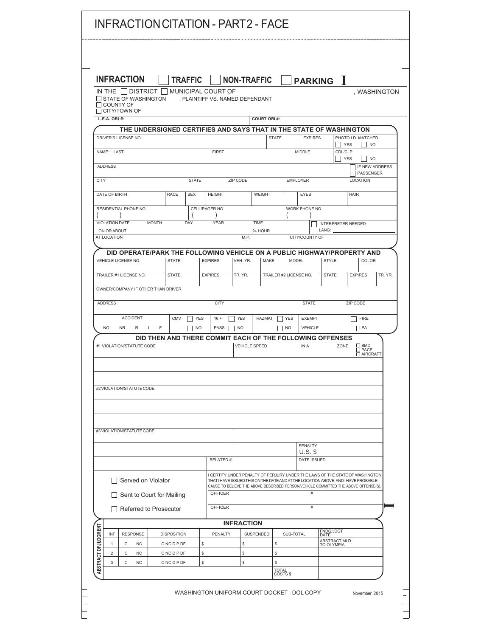|                      |                            |                           | <b>INFRACTION</b>                                                       |              |                    | <b>TRAFFIC</b> |                                                          |         | <b>NON-TRAFFIC</b>                                                                                                                                                        |                    |              |                        |                      | <b>PARKING</b> I |                            |             |                           |                       |
|----------------------|----------------------------|---------------------------|-------------------------------------------------------------------------|--------------|--------------------|----------------|----------------------------------------------------------|---------|---------------------------------------------------------------------------------------------------------------------------------------------------------------------------|--------------------|--------------|------------------------|----------------------|------------------|----------------------------|-------------|---------------------------|-----------------------|
|                      |                            |                           | IN THE I I DISTRICT I<br><b>STATE OF WASHINGTON</b>                     |              |                    |                | MUNICIPAL COURT OF<br>, PLAINTIFF VS. NAMED DEFENDANT    |         |                                                                                                                                                                           |                    |              |                        |                      |                  |                            |             |                           | , WASHINGTON          |
|                      |                            | COUNTY OF<br>CITY/TOWN OF |                                                                         |              |                    |                |                                                          |         |                                                                                                                                                                           |                    |              |                        |                      |                  |                            |             |                           |                       |
|                      | L.E.A. ORI #:              |                           |                                                                         |              |                    |                |                                                          |         |                                                                                                                                                                           | <b>COURT ORI#:</b> |              |                        |                      |                  |                            |             |                           |                       |
|                      |                            | DRIVER'S LICENSE NO.      | THE UNDERSIGNED CERTIFIES AND SAYS THAT IN THE STATE OF WASHINGTON      |              |                    |                |                                                          |         |                                                                                                                                                                           |                    | <b>STATE</b> |                        | <b>EXPIRES</b>       |                  |                            |             | PHOTO I.D. MATCHED        |                       |
|                      | NAME: LAST                 |                           |                                                                         |              |                    |                | <b>FIRST</b>                                             |         |                                                                                                                                                                           |                    |              |                        | <b>MIDDLE</b>        |                  | CDL/CLP                    | YES         | <b>NO</b>                 |                       |
|                      |                            |                           |                                                                         |              |                    |                |                                                          |         |                                                                                                                                                                           |                    |              |                        |                      |                  |                            | YES         | <b>NO</b>                 |                       |
|                      | <b>ADDRESS</b>             |                           |                                                                         |              |                    |                |                                                          |         |                                                                                                                                                                           |                    |              |                        |                      |                  |                            |             | PASSENGER                 | <b>IF NEW ADDRESS</b> |
| <b>CITY</b>          |                            |                           |                                                                         |              |                    | <b>STATE</b>   |                                                          |         | ZIP CODE                                                                                                                                                                  |                    |              |                        | <b>EMPLOYER</b>      |                  |                            |             | <b>LOCATION</b>           |                       |
|                      | DATE OF BIRTH              |                           |                                                                         |              | RACE               | <b>SEX</b>     | <b>HEIGHT</b>                                            |         |                                                                                                                                                                           | WEIGHT             |              |                        | <b>EYES</b>          |                  |                            | <b>HAIR</b> |                           |                       |
|                      |                            |                           | RESIDENTIAL PHONE NO.                                                   |              |                    |                | CELL/PAGER NO.                                           |         |                                                                                                                                                                           |                    |              |                        | WORK PHONE NO.       |                  |                            |             |                           |                       |
|                      |                            | VIOLATION DATE            |                                                                         | <b>MONTH</b> |                    | DAY            | <b>YEAR</b>                                              |         |                                                                                                                                                                           | <b>TIME</b>        |              |                        |                      |                  | INTERPRETER NEEDED         |             |                           |                       |
|                      | ON OR ABOUT<br>AT LOCATION |                           |                                                                         |              |                    |                |                                                          |         | M.P.                                                                                                                                                                      | 24 HOUR            |              |                        | CITY/COUNTY OF       | LANG:            |                            |             |                           |                       |
|                      |                            |                           |                                                                         |              |                    |                |                                                          |         |                                                                                                                                                                           |                    |              |                        |                      |                  |                            |             |                           |                       |
|                      |                            | VEHICLE LICENSE NO.       | DID OPERATE/PARK THE FOLLOWING VEHICLE ON A PUBLIC HIGHWAY/PROPERTY AND |              | <b>STATE</b>       |                | <b>EXPIRES</b>                                           |         | VEH. YR.                                                                                                                                                                  |                    | <b>MAKE</b>  | <b>MODEL</b>           |                      | <b>STYLE</b>     |                            |             | COLOR                     |                       |
|                      |                            |                           |                                                                         |              |                    |                |                                                          |         |                                                                                                                                                                           |                    |              |                        |                      |                  |                            |             |                           |                       |
|                      |                            |                           | TRAILER #1 LICENSE NO.                                                  |              | <b>STATE</b>       |                | <b>EXPIRES</b>                                           |         | TR. YR.                                                                                                                                                                   |                    |              | TRAILER #2 LICENSE NO. |                      | <b>STATE</b>     |                            |             | <b>EXPIRES</b>            | TR. YR.               |
|                      |                            |                           | OWNER/COMPANY IF OTHER THAN DRIVER                                      |              |                    |                |                                                          |         |                                                                                                                                                                           |                    |              |                        |                      |                  |                            |             |                           |                       |
|                      | <b>ADDRESS</b>             |                           |                                                                         |              |                    |                | <b>CITY</b>                                              |         |                                                                                                                                                                           |                    |              |                        | <b>STATE</b>         |                  |                            | ZIP CODE    |                           |                       |
|                      |                            |                           | <b>ACCIDENT</b>                                                         |              | <b>CMV</b>         | <b>YES</b>     | $16 +$                                                   |         | <b>YES</b>                                                                                                                                                                | HAZMAT             |              | YES                    | <b>EXEMPT</b>        |                  |                            |             | <b>FIRE</b>               |                       |
|                      | NO.                        | <b>NR</b>                 | R<br>$\mathbf{I}$                                                       | F            |                    | <b>NO</b>      | PASS                                                     |         | <b>NO</b>                                                                                                                                                                 |                    |              | <b>NO</b>              | <b>VEHICLE</b>       |                  |                            |             | LEA                       |                       |
|                      |                            |                           | #1 VIOLATION/STATUTE CODE                                               |              |                    |                | DID THEN AND THERE COMMIT EACH OF THE FOLLOWING OFFENSES |         | <b>VEHICLE SPEED</b>                                                                                                                                                      |                    |              |                        | IN A                 |                  | ZONE                       |             | SMD                       |                       |
|                      |                            |                           |                                                                         |              |                    |                |                                                          |         |                                                                                                                                                                           |                    |              |                        |                      |                  |                            |             | <b>T PACE</b><br>AIRCRAFT |                       |
|                      |                            |                           |                                                                         |              |                    |                |                                                          |         |                                                                                                                                                                           |                    |              |                        |                      |                  |                            |             |                           |                       |
|                      |                            |                           |                                                                         |              |                    |                |                                                          |         |                                                                                                                                                                           |                    |              |                        |                      |                  |                            |             |                           |                       |
|                      |                            |                           | #2 VIOLATION/STATUTE CODE                                               |              |                    |                |                                                          |         |                                                                                                                                                                           |                    |              |                        |                      |                  |                            |             |                           |                       |
|                      |                            |                           |                                                                         |              |                    |                |                                                          |         |                                                                                                                                                                           |                    |              |                        |                      |                  |                            |             |                           |                       |
|                      |                            |                           |                                                                         |              |                    |                |                                                          |         |                                                                                                                                                                           |                    |              |                        |                      |                  |                            |             |                           |                       |
|                      |                            |                           | #3 VIOLATION/STATUTE CODE                                               |              |                    |                |                                                          |         |                                                                                                                                                                           |                    |              |                        |                      |                  |                            |             |                           |                       |
|                      |                            |                           |                                                                         |              |                    |                |                                                          |         |                                                                                                                                                                           |                    |              |                        |                      |                  |                            |             |                           |                       |
|                      |                            |                           |                                                                         |              |                    |                |                                                          |         |                                                                                                                                                                           |                    |              |                        | PENALTY<br>$U.S.$ \$ |                  |                            |             |                           |                       |
|                      |                            |                           |                                                                         |              |                    |                | RELATED #                                                |         |                                                                                                                                                                           |                    |              |                        | DATE ISSUED          |                  |                            |             |                           |                       |
|                      |                            |                           |                                                                         |              |                    |                |                                                          |         | I CERTIFY UNDER PENALTY OF PERJURY UNDER THE LAWS OF THE STATE OF WASHINGTON                                                                                              |                    |              |                        |                      |                  |                            |             |                           |                       |
|                      |                            |                           | Served on Violator                                                      |              |                    |                |                                                          |         | THAT I HAVE ISSUED THIS ON THE DATE AND AT THE LOCATION ABOVE, AND I HAVE PROBABLE<br>CAUSE TO BELIEVE THE ABOVE DESCRIBED PERSON/VEHICLE COMMITTED THE ABOVE OFFENSE(S). |                    |              |                        |                      |                  |                            |             |                           |                       |
|                      |                            |                           | Sent to Court for Mailing                                               |              |                    |                | <b>OFFICER</b>                                           |         |                                                                                                                                                                           |                    |              |                        | #                    |                  |                            |             |                           |                       |
|                      |                            |                           | $\Box$ Referred to Prosecutor                                           |              |                    |                | <b>OFFICER</b>                                           |         |                                                                                                                                                                           |                    |              |                        | $\#$                 |                  |                            |             |                           |                       |
|                      |                            |                           |                                                                         |              |                    |                |                                                          |         | <b>INFRACTION</b>                                                                                                                                                         |                    |              |                        |                      |                  |                            |             |                           |                       |
| ABSTRACT OF JUDGMENT | INF                        |                           | <b>RESPONSE</b>                                                         |              | <b>DISPOSITION</b> |                |                                                          | PENALTY |                                                                                                                                                                           | SUSPENDED          |              | SUB-TOTAL              |                      | DATE             | <b>FNDG/JDGT</b>           |             |                           |                       |
|                      | $\mathbf{1}$               | С                         | <b>NC</b>                                                               |              | C NC D P DF        |                | \$                                                       |         | \$                                                                                                                                                                        |                    | \$           |                        |                      |                  | ABSTRACT MLD<br>TO OLYMPIA |             |                           |                       |
|                      | $\overline{2}$<br>3        | С<br>C                    | <b>NC</b><br><b>NC</b>                                                  |              | C NC D P DF        |                | \$                                                       |         | \$                                                                                                                                                                        |                    | \$<br>s      |                        |                      |                  |                            |             |                           |                       |
|                      |                            |                           |                                                                         |              | C NC D P DF        |                | \$                                                       |         | \$                                                                                                                                                                        |                    | <b>TOTAL</b> | COSTS \$               |                      |                  |                            |             |                           |                       |
|                      |                            |                           |                                                                         |              |                    |                |                                                          |         |                                                                                                                                                                           |                    |              |                        |                      |                  |                            |             |                           |                       |

L

 $\begin{array}{c} \begin{array}{c} \begin{array}{c} \end{array} \\ \begin{array}{c} \end{array} \end{array} \end{array}$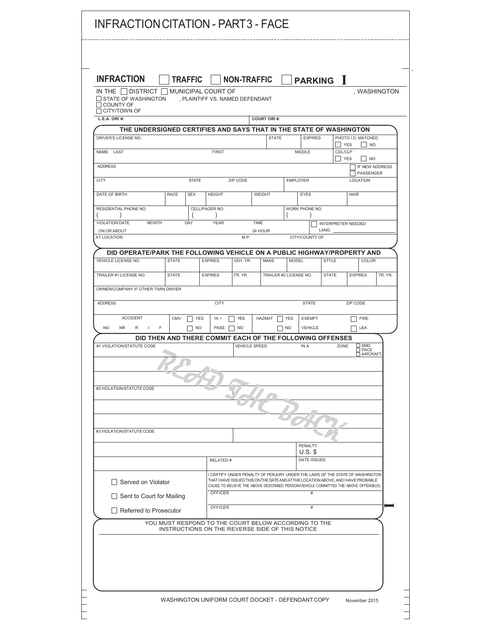| IN THE     DISTRICT     MUNICIPAL COURT OF<br>STATE OF WASHINGTON<br>, PLAINTIFF VS. NAMED DEFENDANT<br><b>COUNTY OF</b><br>$\Box$ CITY/TOWN OF<br>L.E.A. ORI #:<br>THE UNDERSIGNED CERTIFIES AND SAYS THAT IN THE STATE OF WASHINGTON<br>DRIVER'S LICENSE NO.<br>NAME: LAST<br><b>FIRST</b><br><b>ADDRESS</b><br><b>CITY</b><br><b>STATE</b><br>DATE OF BIRTH<br><b>RACE</b><br><b>SEX</b><br><b>HEIGHT</b><br>RESIDENTIAL PHONE NO.<br>CELL/PAGER NO.<br>VIOLATION DATE<br><b>MONTH</b><br>DAY<br><b>YEAR</b><br>ON OR ABOUT<br>AT LOCATION<br>DID OPERATE/PARK THE FOLLOWING VEHICLE ON A PUBLIC HIGHWAY/PROPERTY AND<br>VEHICLE LICENSE NO.<br><b>STATE</b><br><b>EXPIRES</b><br>TRAILER #1 LICENSE NO.<br><b>STATE</b><br><b>EXPIRES</b><br>OWNER/COMPANY IF OTHER THAN DRIVER<br><b>ADDRESS</b><br><b>CITY</b><br><b>ACCIDENT</b><br><b>CMV</b><br><b>YES</b><br>$16 +$<br><b>NO</b><br>F<br>PASS<br><b>NR</b><br>R<br>$\mathbf{L}$<br>NO.<br>DID THEN AND THERE COMMIT EACH OF THE FOLLOWING OFFENSES<br>#1 VIOLATION/STATUTE CODE<br>#2 VIOLATION/STATUTE CODE | ZIP CODE<br>M.P.<br>VEH. YR.<br>TR. YR.<br><b>YES</b><br><b>NO</b><br><b>VEHICLE SPEED</b>                                                                                                                                                                | <b>COURT ORI#:</b><br><b>STATE</b><br>WEIGHT<br>TIME<br>24 HOUR<br><b>MAKE</b><br><b>HAZMAT</b> | <b>EMPLOYER</b><br><b>MODEL</b><br>TRAILER #2 LICENSE NO.<br><b>YES</b><br><b>NO</b> | <b>EXPIRES</b><br>MIDDLE<br>EYES<br>WORK PHONE NO.<br>CITY/COUNTY OF<br><b>STATE</b><br><b>EXEMPT</b><br><b>VEHICLE</b> | <b>YES</b><br>CDL/CLP<br>  YES<br><b>INTERPRETER NEEDED</b><br>LANG:<br><b>STYLE</b><br><b>STATE</b> | PHOTO I.D. MATCHED<br>LOCATION<br><b>HAIR</b><br><b>EXPIRES</b><br>ZIP CODE<br><b>FIRE</b> | . WASHINGTON<br>I NO<br> NO<br>IF NEW ADDRESS<br>PASSENGER<br>COLOR<br>TR. YR. |
|------------------------------------------------------------------------------------------------------------------------------------------------------------------------------------------------------------------------------------------------------------------------------------------------------------------------------------------------------------------------------------------------------------------------------------------------------------------------------------------------------------------------------------------------------------------------------------------------------------------------------------------------------------------------------------------------------------------------------------------------------------------------------------------------------------------------------------------------------------------------------------------------------------------------------------------------------------------------------------------------------------------------------------------------------------------------|-----------------------------------------------------------------------------------------------------------------------------------------------------------------------------------------------------------------------------------------------------------|-------------------------------------------------------------------------------------------------|--------------------------------------------------------------------------------------|-------------------------------------------------------------------------------------------------------------------------|------------------------------------------------------------------------------------------------------|--------------------------------------------------------------------------------------------|--------------------------------------------------------------------------------|
|                                                                                                                                                                                                                                                                                                                                                                                                                                                                                                                                                                                                                                                                                                                                                                                                                                                                                                                                                                                                                                                                        |                                                                                                                                                                                                                                                           |                                                                                                 |                                                                                      |                                                                                                                         |                                                                                                      |                                                                                            |                                                                                |
|                                                                                                                                                                                                                                                                                                                                                                                                                                                                                                                                                                                                                                                                                                                                                                                                                                                                                                                                                                                                                                                                        |                                                                                                                                                                                                                                                           |                                                                                                 |                                                                                      |                                                                                                                         |                                                                                                      |                                                                                            |                                                                                |
|                                                                                                                                                                                                                                                                                                                                                                                                                                                                                                                                                                                                                                                                                                                                                                                                                                                                                                                                                                                                                                                                        |                                                                                                                                                                                                                                                           |                                                                                                 |                                                                                      |                                                                                                                         |                                                                                                      |                                                                                            |                                                                                |
|                                                                                                                                                                                                                                                                                                                                                                                                                                                                                                                                                                                                                                                                                                                                                                                                                                                                                                                                                                                                                                                                        |                                                                                                                                                                                                                                                           |                                                                                                 |                                                                                      |                                                                                                                         |                                                                                                      |                                                                                            |                                                                                |
|                                                                                                                                                                                                                                                                                                                                                                                                                                                                                                                                                                                                                                                                                                                                                                                                                                                                                                                                                                                                                                                                        |                                                                                                                                                                                                                                                           |                                                                                                 |                                                                                      |                                                                                                                         |                                                                                                      |                                                                                            |                                                                                |
|                                                                                                                                                                                                                                                                                                                                                                                                                                                                                                                                                                                                                                                                                                                                                                                                                                                                                                                                                                                                                                                                        |                                                                                                                                                                                                                                                           |                                                                                                 |                                                                                      |                                                                                                                         |                                                                                                      |                                                                                            |                                                                                |
|                                                                                                                                                                                                                                                                                                                                                                                                                                                                                                                                                                                                                                                                                                                                                                                                                                                                                                                                                                                                                                                                        |                                                                                                                                                                                                                                                           |                                                                                                 |                                                                                      |                                                                                                                         |                                                                                                      |                                                                                            |                                                                                |
|                                                                                                                                                                                                                                                                                                                                                                                                                                                                                                                                                                                                                                                                                                                                                                                                                                                                                                                                                                                                                                                                        |                                                                                                                                                                                                                                                           |                                                                                                 |                                                                                      |                                                                                                                         |                                                                                                      |                                                                                            |                                                                                |
|                                                                                                                                                                                                                                                                                                                                                                                                                                                                                                                                                                                                                                                                                                                                                                                                                                                                                                                                                                                                                                                                        |                                                                                                                                                                                                                                                           |                                                                                                 |                                                                                      |                                                                                                                         |                                                                                                      |                                                                                            |                                                                                |
|                                                                                                                                                                                                                                                                                                                                                                                                                                                                                                                                                                                                                                                                                                                                                                                                                                                                                                                                                                                                                                                                        |                                                                                                                                                                                                                                                           |                                                                                                 |                                                                                      |                                                                                                                         |                                                                                                      |                                                                                            |                                                                                |
|                                                                                                                                                                                                                                                                                                                                                                                                                                                                                                                                                                                                                                                                                                                                                                                                                                                                                                                                                                                                                                                                        |                                                                                                                                                                                                                                                           |                                                                                                 |                                                                                      |                                                                                                                         |                                                                                                      |                                                                                            |                                                                                |
|                                                                                                                                                                                                                                                                                                                                                                                                                                                                                                                                                                                                                                                                                                                                                                                                                                                                                                                                                                                                                                                                        |                                                                                                                                                                                                                                                           |                                                                                                 |                                                                                      |                                                                                                                         |                                                                                                      |                                                                                            |                                                                                |
|                                                                                                                                                                                                                                                                                                                                                                                                                                                                                                                                                                                                                                                                                                                                                                                                                                                                                                                                                                                                                                                                        |                                                                                                                                                                                                                                                           |                                                                                                 |                                                                                      |                                                                                                                         |                                                                                                      |                                                                                            |                                                                                |
|                                                                                                                                                                                                                                                                                                                                                                                                                                                                                                                                                                                                                                                                                                                                                                                                                                                                                                                                                                                                                                                                        |                                                                                                                                                                                                                                                           |                                                                                                 |                                                                                      |                                                                                                                         |                                                                                                      |                                                                                            |                                                                                |
|                                                                                                                                                                                                                                                                                                                                                                                                                                                                                                                                                                                                                                                                                                                                                                                                                                                                                                                                                                                                                                                                        |                                                                                                                                                                                                                                                           |                                                                                                 |                                                                                      |                                                                                                                         |                                                                                                      |                                                                                            |                                                                                |
|                                                                                                                                                                                                                                                                                                                                                                                                                                                                                                                                                                                                                                                                                                                                                                                                                                                                                                                                                                                                                                                                        |                                                                                                                                                                                                                                                           |                                                                                                 |                                                                                      |                                                                                                                         |                                                                                                      |                                                                                            |                                                                                |
|                                                                                                                                                                                                                                                                                                                                                                                                                                                                                                                                                                                                                                                                                                                                                                                                                                                                                                                                                                                                                                                                        |                                                                                                                                                                                                                                                           |                                                                                                 |                                                                                      |                                                                                                                         |                                                                                                      |                                                                                            |                                                                                |
|                                                                                                                                                                                                                                                                                                                                                                                                                                                                                                                                                                                                                                                                                                                                                                                                                                                                                                                                                                                                                                                                        |                                                                                                                                                                                                                                                           |                                                                                                 |                                                                                      |                                                                                                                         |                                                                                                      |                                                                                            |                                                                                |
|                                                                                                                                                                                                                                                                                                                                                                                                                                                                                                                                                                                                                                                                                                                                                                                                                                                                                                                                                                                                                                                                        |                                                                                                                                                                                                                                                           |                                                                                                 |                                                                                      |                                                                                                                         |                                                                                                      | LEA                                                                                        |                                                                                |
|                                                                                                                                                                                                                                                                                                                                                                                                                                                                                                                                                                                                                                                                                                                                                                                                                                                                                                                                                                                                                                                                        |                                                                                                                                                                                                                                                           |                                                                                                 |                                                                                      | IN A                                                                                                                    | ZONE                                                                                                 | $\sqrt{2}$ SMD                                                                             |                                                                                |
|                                                                                                                                                                                                                                                                                                                                                                                                                                                                                                                                                                                                                                                                                                                                                                                                                                                                                                                                                                                                                                                                        |                                                                                                                                                                                                                                                           |                                                                                                 |                                                                                      |                                                                                                                         |                                                                                                      | $\square$ PACE                                                                             | AIRCRAFT                                                                       |
|                                                                                                                                                                                                                                                                                                                                                                                                                                                                                                                                                                                                                                                                                                                                                                                                                                                                                                                                                                                                                                                                        |                                                                                                                                                                                                                                                           |                                                                                                 |                                                                                      |                                                                                                                         |                                                                                                      |                                                                                            |                                                                                |
|                                                                                                                                                                                                                                                                                                                                                                                                                                                                                                                                                                                                                                                                                                                                                                                                                                                                                                                                                                                                                                                                        |                                                                                                                                                                                                                                                           |                                                                                                 |                                                                                      |                                                                                                                         |                                                                                                      |                                                                                            |                                                                                |
|                                                                                                                                                                                                                                                                                                                                                                                                                                                                                                                                                                                                                                                                                                                                                                                                                                                                                                                                                                                                                                                                        |                                                                                                                                                                                                                                                           |                                                                                                 |                                                                                      |                                                                                                                         |                                                                                                      |                                                                                            |                                                                                |
|                                                                                                                                                                                                                                                                                                                                                                                                                                                                                                                                                                                                                                                                                                                                                                                                                                                                                                                                                                                                                                                                        |                                                                                                                                                                                                                                                           |                                                                                                 |                                                                                      |                                                                                                                         |                                                                                                      |                                                                                            |                                                                                |
|                                                                                                                                                                                                                                                                                                                                                                                                                                                                                                                                                                                                                                                                                                                                                                                                                                                                                                                                                                                                                                                                        |                                                                                                                                                                                                                                                           |                                                                                                 |                                                                                      |                                                                                                                         |                                                                                                      |                                                                                            |                                                                                |
| #3 VIOLATION/STATUTE CODE                                                                                                                                                                                                                                                                                                                                                                                                                                                                                                                                                                                                                                                                                                                                                                                                                                                                                                                                                                                                                                              |                                                                                                                                                                                                                                                           |                                                                                                 |                                                                                      |                                                                                                                         |                                                                                                      |                                                                                            |                                                                                |
|                                                                                                                                                                                                                                                                                                                                                                                                                                                                                                                                                                                                                                                                                                                                                                                                                                                                                                                                                                                                                                                                        |                                                                                                                                                                                                                                                           |                                                                                                 |                                                                                      | PENALTY                                                                                                                 |                                                                                                      |                                                                                            |                                                                                |
| RELATED #                                                                                                                                                                                                                                                                                                                                                                                                                                                                                                                                                                                                                                                                                                                                                                                                                                                                                                                                                                                                                                                              |                                                                                                                                                                                                                                                           |                                                                                                 |                                                                                      | $U.S.$ \$<br>DATE ISSUED                                                                                                |                                                                                                      |                                                                                            |                                                                                |
|                                                                                                                                                                                                                                                                                                                                                                                                                                                                                                                                                                                                                                                                                                                                                                                                                                                                                                                                                                                                                                                                        |                                                                                                                                                                                                                                                           |                                                                                                 |                                                                                      |                                                                                                                         |                                                                                                      |                                                                                            |                                                                                |
| □ Served on Violator                                                                                                                                                                                                                                                                                                                                                                                                                                                                                                                                                                                                                                                                                                                                                                                                                                                                                                                                                                                                                                                   | I CERTIFY UNDER PENALTY OF PERJURY UNDER THE LAWS OF THE STATE OF WASHINGTON<br>THAT I HAVE ISSUED THIS ON THE DATE AND AT THE LOCATION ABOVE, AND I HAVE PROBABLE<br>CAUSE TO BELIEVE THE ABOVE DESCRIBED PERSON/VEHICLE COMMITTED THE ABOVE OFFENSE(S). |                                                                                                 |                                                                                      |                                                                                                                         |                                                                                                      |                                                                                            |                                                                                |
| <b>OFFICER</b><br>Sent to Court for Mailing                                                                                                                                                                                                                                                                                                                                                                                                                                                                                                                                                                                                                                                                                                                                                                                                                                                                                                                                                                                                                            |                                                                                                                                                                                                                                                           |                                                                                                 |                                                                                      | #                                                                                                                       |                                                                                                      |                                                                                            |                                                                                |
| <b>OFFICER</b><br>$\Box$ Referred to Prosecutor                                                                                                                                                                                                                                                                                                                                                                                                                                                                                                                                                                                                                                                                                                                                                                                                                                                                                                                                                                                                                        |                                                                                                                                                                                                                                                           |                                                                                                 |                                                                                      | #                                                                                                                       |                                                                                                      |                                                                                            |                                                                                |
| YOU MUST RESPOND TO THE COURT BELOW ACCORDING TO THE                                                                                                                                                                                                                                                                                                                                                                                                                                                                                                                                                                                                                                                                                                                                                                                                                                                                                                                                                                                                                   |                                                                                                                                                                                                                                                           |                                                                                                 |                                                                                      |                                                                                                                         |                                                                                                      |                                                                                            |                                                                                |
| INSTRUCTIONS ON THE REVERSE SIDE OF THIS NOTICE                                                                                                                                                                                                                                                                                                                                                                                                                                                                                                                                                                                                                                                                                                                                                                                                                                                                                                                                                                                                                        |                                                                                                                                                                                                                                                           |                                                                                                 |                                                                                      |                                                                                                                         |                                                                                                      |                                                                                            |                                                                                |
|                                                                                                                                                                                                                                                                                                                                                                                                                                                                                                                                                                                                                                                                                                                                                                                                                                                                                                                                                                                                                                                                        |                                                                                                                                                                                                                                                           |                                                                                                 |                                                                                      |                                                                                                                         |                                                                                                      |                                                                                            |                                                                                |
|                                                                                                                                                                                                                                                                                                                                                                                                                                                                                                                                                                                                                                                                                                                                                                                                                                                                                                                                                                                                                                                                        |                                                                                                                                                                                                                                                           |                                                                                                 |                                                                                      |                                                                                                                         |                                                                                                      |                                                                                            |                                                                                |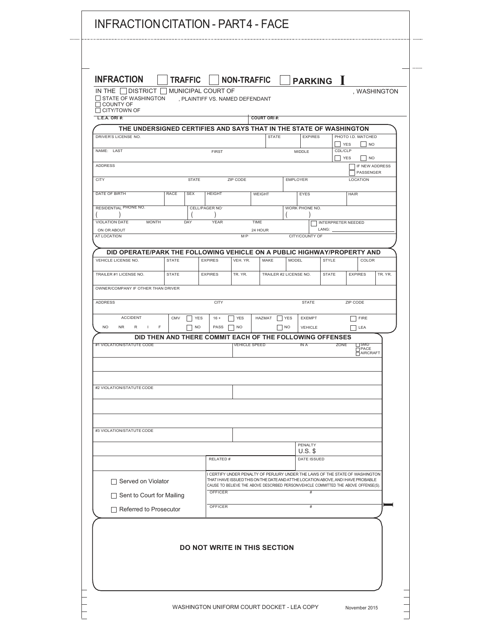| <b>INFRACTION</b><br>IN THE I I DISTRICT I<br>$\Box$ STATE OF WASHINGTON                           | <b>TRAFFIC</b><br>$\sqcap$ MUNICIPAL COURT OF | , PLAINTIFF VS. NAMED DEFENDANT     | <b>NON-TRAFFIC</b> |                      |                        |            |                      |                | <b>PARKING</b> I                                                                                                                                                  |                                                   | , WASHINGTON   |
|----------------------------------------------------------------------------------------------------|-----------------------------------------------|-------------------------------------|--------------------|----------------------|------------------------|------------|----------------------|----------------|-------------------------------------------------------------------------------------------------------------------------------------------------------------------|---------------------------------------------------|----------------|
| $\Box$ COUNTY OF<br>$\Box$ CITY/TOWN OF<br>L.E.A. ORI #:                                           |                                               |                                     |                    |                      | <b>COURT ORI#:</b>     |            |                      |                |                                                                                                                                                                   |                                                   |                |
| THE UNDERSIGNED CERTIFIES AND SAYS THAT IN THE STATE OF WASHINGTON                                 |                                               |                                     |                    |                      |                        |            |                      |                |                                                                                                                                                                   |                                                   |                |
| DRIVER'S LICENSE NO.                                                                               |                                               |                                     |                    |                      | <b>STATE</b>           |            |                      | <b>EXPIRES</b> | YES                                                                                                                                                               | PHOTO I.D. MATCHED<br>$\overline{\phantom{a}}$ NO |                |
| NAME: LAST                                                                                         |                                               | <b>FIRST</b>                        |                    |                      |                        |            | MIDDLE               |                | CDL/CLP<br><b>YES</b>                                                                                                                                             |                                                   | <b>NO</b>      |
| ADDRESS                                                                                            |                                               |                                     |                    |                      |                        |            |                      |                |                                                                                                                                                                   | PASSENGER                                         | IF NEW ADDRESS |
| <b>CITY</b>                                                                                        | <b>STATE</b>                                  |                                     | ZIP CODE           |                      |                        |            | <b>EMPLOYER</b>      |                |                                                                                                                                                                   | LOCATION                                          |                |
| DATE OF BIRTH                                                                                      | <b>RACE</b><br><b>SEX</b>                     | <b>HEIGHT</b>                       |                    | <b>WEIGHT</b>        |                        |            | EYES                 |                |                                                                                                                                                                   | <b>HAIR</b>                                       |                |
| RESIDENTIAL PHONE NO.                                                                              |                                               | CELL/PAGER NO <sup>-</sup>          |                    |                      |                        |            | WORK PHONE NO.       |                |                                                                                                                                                                   |                                                   |                |
| <b>MONTH</b><br><b>VIOLATION DATE</b>                                                              | DAY                                           | <b>YEAR</b>                         |                    | TIME                 |                        |            |                      |                | INTERPRETER NEEDED                                                                                                                                                |                                                   |                |
| ON OR ABOUT<br>AT LOCATION                                                                         |                                               |                                     |                    | 24 HOUR<br>M.P.      |                        |            | CITY/COUNTY OF       | LANG:          |                                                                                                                                                                   |                                                   |                |
| DID OPERATE/PARK THE FOLLOWING VEHICLE ON A PUBLIC HIGHWAY/PROPERTY AND                            |                                               |                                     |                    |                      |                        |            |                      |                |                                                                                                                                                                   |                                                   |                |
| VEHICLE LICENSE NO.                                                                                | <b>STATE</b>                                  | <b>EXPIRES</b>                      | VEH. YR.           |                      | MAKE                   | MODEL      |                      |                | <b>STYLE</b>                                                                                                                                                      | COLOR                                             |                |
| TRAILER #1 LICENSE NO.                                                                             | <b>STATE</b>                                  | <b>EXPIRES</b>                      | TR. YR.            |                      | TRAILER #2 LICENSE NO. |            |                      |                | <b>STATE</b>                                                                                                                                                      | <b>EXPIRES</b>                                    | TR. YR.        |
| OWNER/COMPANY IF OTHER THAN DRIVER                                                                 |                                               |                                     |                    |                      |                        |            |                      |                |                                                                                                                                                                   |                                                   |                |
| ADDRESS                                                                                            |                                               | <b>CITY</b>                         |                    |                      |                        |            | <b>STATE</b>         |                |                                                                                                                                                                   | ZIP CODE                                          |                |
| <b>ACCIDENT</b>                                                                                    | CMV                                           | YES<br>$16 +$                       | <b>YES</b>         |                      | HAZMAT                 | <b>YES</b> | <b>EXEMPT</b>        |                |                                                                                                                                                                   | <b>FIRE</b>                                       |                |
| <b>NO</b><br>F<br><b>NR</b><br>R<br>л.<br>DID THEN AND THERE COMMIT EACH OF THE FOLLOWING OFFENSES |                                               | PASS<br><b>NO</b>                   | <b>NO</b>          |                      |                        | <b>NO</b>  | VEHICLE              |                |                                                                                                                                                                   | LEA                                               |                |
| #1 VIOLATION/STATUTE CODE                                                                          |                                               |                                     |                    | <b>VEHICLE SPEED</b> |                        |            | IN A                 |                | ZONE                                                                                                                                                              | ⊟SMD<br>$\bar{\square}$ PACE<br>AIRCRAFT          |                |
|                                                                                                    |                                               |                                     |                    |                      |                        |            |                      |                |                                                                                                                                                                   |                                                   |                |
|                                                                                                    |                                               |                                     |                    |                      |                        |            |                      |                |                                                                                                                                                                   |                                                   |                |
| #2 VIOLATION/STATUTE CODE                                                                          |                                               |                                     |                    |                      |                        |            |                      |                |                                                                                                                                                                   |                                                   |                |
|                                                                                                    |                                               |                                     |                    |                      |                        |            |                      |                |                                                                                                                                                                   |                                                   |                |
|                                                                                                    |                                               |                                     |                    |                      |                        |            |                      |                |                                                                                                                                                                   |                                                   |                |
| #3 VIOLATION/STATUTE CODE                                                                          |                                               |                                     |                    |                      |                        |            |                      |                |                                                                                                                                                                   |                                                   |                |
|                                                                                                    |                                               |                                     |                    |                      |                        |            | PENALTY<br>$U.S.$ \$ |                |                                                                                                                                                                   |                                                   |                |
|                                                                                                    |                                               |                                     | RELATED #          |                      |                        |            |                      | DATE ISSUED    |                                                                                                                                                                   |                                                   |                |
| Served on Violator                                                                                 |                                               |                                     |                    |                      |                        |            |                      |                | I CERTIFY UNDER PENALTY OF PERJURY UNDER THE LAWS OF THE STATE OF WASHINGTON<br>THAT I HAVE ISSUED THIS ON THE DATE AND ATTHE LOCATION ABOVE, AND I HAVE PROBABLE |                                                   |                |
| Sent to Court for Mailing                                                                          |                                               | OFFICER                             |                    |                      |                        |            | #                    |                | CAUSE TO BELIEVE THE ABOVE DESCRIBED PERSON/VEHICLE COMMITTED THE ABOVE OFFENSE(S).                                                                               |                                                   |                |
| $\Box$ Referred to Prosecutor                                                                      |                                               | OFFICER                             |                    |                      |                        |            |                      | $\#$           |                                                                                                                                                                   |                                                   |                |
|                                                                                                    |                                               |                                     |                    |                      |                        |            |                      |                |                                                                                                                                                                   |                                                   |                |
|                                                                                                    |                                               |                                     |                    |                      |                        |            |                      |                |                                                                                                                                                                   |                                                   |                |
|                                                                                                    |                                               | <b>DO NOT WRITE IN THIS SECTION</b> |                    |                      |                        |            |                      |                |                                                                                                                                                                   |                                                   |                |
|                                                                                                    |                                               |                                     |                    |                      |                        |            |                      |                |                                                                                                                                                                   |                                                   |                |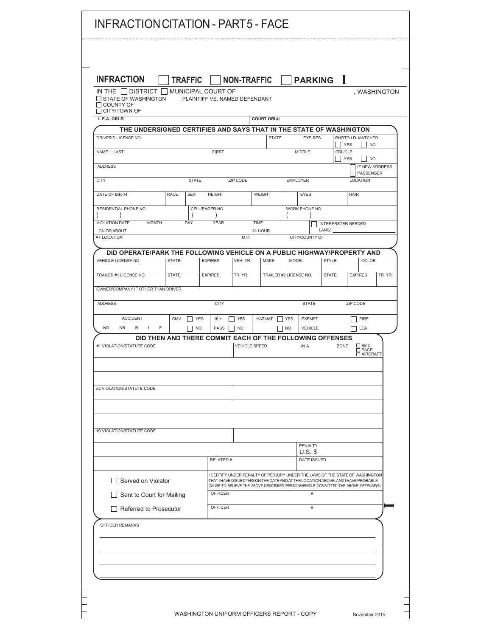| <b>INFRACTION</b><br>IN THE     DISTRICT     MUNICIPAL COURT OF         |              | <b>TRAFFIC</b> |                                 |            | <b>NON-TRAFFIC</b>     |                              | <b>PARKING</b> I                                                                                                                                                                                                                                          |                                                |                             | , WASHINGTON   |
|-------------------------------------------------------------------------|--------------|----------------|---------------------------------|------------|------------------------|------------------------------|-----------------------------------------------------------------------------------------------------------------------------------------------------------------------------------------------------------------------------------------------------------|------------------------------------------------|-----------------------------|----------------|
| <b>J STATE OF WASHINGTON</b><br>COUNTY OF                               |              |                | , PLAINTIFF VS. NAMED DEFENDANT |            |                        |                              |                                                                                                                                                                                                                                                           |                                                |                             |                |
| $\sqcap$ CITY/TOWN OF<br>L.E.A. ORI #:                                  |              |                |                                 |            | <b>COURT ORI#:</b>     |                              |                                                                                                                                                                                                                                                           |                                                |                             |                |
| THE UNDERSIGNED CERTIFIES AND SAYS THAT IN THE STATE OF WASHINGTON      |              |                |                                 |            |                        |                              |                                                                                                                                                                                                                                                           |                                                |                             |                |
| DRIVER'S LICENSE NO.                                                    |              |                |                                 |            | <b>STATE</b>           |                              | <b>EXPIRES</b>                                                                                                                                                                                                                                            | <b>YES</b><br>$\mathbf{I}$                     | PHOTO I.D. MATCHED          | <b>NO</b>      |
| NAME: LAST                                                              |              |                | <b>FIRST</b>                    |            |                        |                              | <b>MIDDLE</b>                                                                                                                                                                                                                                             | <b>CDL/CLP</b><br><b>YES</b><br>$\blacksquare$ | $\overline{\phantom{a}}$ NO |                |
| <b>ADDRESS</b>                                                          |              |                |                                 |            |                        |                              |                                                                                                                                                                                                                                                           |                                                | PASSENGER                   | IF NEW ADDRESS |
| <b>CITY</b>                                                             |              | <b>STATE</b>   |                                 | ZIP CODE   |                        |                              | <b>EMPLOYER</b>                                                                                                                                                                                                                                           |                                                | <b>LOCATION</b>             |                |
| DATE OF BIRTH                                                           | <b>RACE</b>  | <b>SEX</b>     | <b>HEIGHT</b>                   |            | WEIGHT                 |                              | <b>EYES</b>                                                                                                                                                                                                                                               |                                                | <b>HAIR</b>                 |                |
| RESIDENTIAL PHONE NO.                                                   |              |                | CELL/PAGER NO.                  |            |                        |                              | WORK PHONE NO.                                                                                                                                                                                                                                            |                                                |                             |                |
| VIOLATION DATE<br><b>MONTH</b><br>ON OR ABOUT                           |              | DAY            | <b>YEAR</b>                     |            | <b>TIME</b><br>24 HOUR |                              | LANG:                                                                                                                                                                                                                                                     | INTERPRETER NEEDED                             |                             |                |
| AT LOCATION                                                             |              |                |                                 | M.P.       |                        |                              | CITY/COUNTY OF                                                                                                                                                                                                                                            |                                                |                             |                |
| DID OPERATE/PARK THE FOLLOWING VEHICLE ON A PUBLIC HIGHWAY/PROPERTY AND |              |                |                                 |            |                        |                              |                                                                                                                                                                                                                                                           |                                                |                             |                |
| VEHICLE LICENSE NO.                                                     | <b>STATE</b> |                | <b>EXPIRES</b>                  | VEH. YR.   | <b>MAKE</b>            |                              | <b>MODEL</b>                                                                                                                                                                                                                                              | <b>STYLE</b>                                   | COLOR                       |                |
| TRAILER #1 LICENSE NO.                                                  | <b>STATE</b> |                | <b>EXPIRES</b>                  | TR. YR.    |                        | TRAILER #2 LICENSE NO.       |                                                                                                                                                                                                                                                           | <b>STATE</b>                                   | <b>EXPIRES</b>              | TR. YR.        |
| OWNER/COMPANY IF OTHER THAN DRIVER                                      |              |                |                                 |            |                        |                              |                                                                                                                                                                                                                                                           |                                                |                             |                |
| <b>ADDRESS</b>                                                          |              |                | <b>CITY</b>                     |            |                        |                              | <b>STATE</b>                                                                                                                                                                                                                                              |                                                | ZIP CODE                    |                |
| <b>ACCIDENT</b>                                                         | <b>CMV</b>   | <b>YES</b>     | $16 +$                          | <b>YES</b> | HAZMAT                 | <b>YES</b><br>$\blacksquare$ | <b>EXEMPT</b>                                                                                                                                                                                                                                             |                                                | <b>FIRE</b>                 |                |
| <b>NO</b><br><b>NR</b><br>R<br>$\mathbf{I}$<br>F                        |              | <b>NO</b>      | PASS                            | <b>NO</b>  |                        | <b>NO</b>                    | <b>VEHICLE</b>                                                                                                                                                                                                                                            |                                                | LEA                         |                |
| #1 VIOLATION/STATUTE CODE                                               |              |                |                                 |            | <b>VEHICLE SPEED</b>   |                              | DID THEN AND THERE COMMIT EACH OF THE FOLLOWING OFFENSES<br>IN A                                                                                                                                                                                          | ZONE                                           | SMD<br>$\square$ PACE       |                |
|                                                                         |              |                |                                 |            |                        |                              |                                                                                                                                                                                                                                                           |                                                | AIRCRAFT                    |                |
|                                                                         |              |                |                                 |            |                        |                              |                                                                                                                                                                                                                                                           |                                                |                             |                |
| #2 VIOLATION/STATUTE CODE                                               |              |                |                                 |            |                        |                              |                                                                                                                                                                                                                                                           |                                                |                             |                |
|                                                                         |              |                |                                 |            |                        |                              |                                                                                                                                                                                                                                                           |                                                |                             |                |
|                                                                         |              |                |                                 |            |                        |                              |                                                                                                                                                                                                                                                           |                                                |                             |                |
| #3 VIOLATION/STATUTE CODE                                               |              |                |                                 |            |                        |                              |                                                                                                                                                                                                                                                           |                                                |                             |                |
|                                                                         |              |                |                                 |            |                        |                              | PENALTY                                                                                                                                                                                                                                                   |                                                |                             |                |
|                                                                         |              |                |                                 |            |                        |                              | $U.S.$ \$                                                                                                                                                                                                                                                 |                                                |                             |                |
|                                                                         |              |                | RELATED #                       |            |                        |                              | DATE ISSUED                                                                                                                                                                                                                                               |                                                |                             |                |
| Served on Violator                                                      |              |                |                                 |            |                        |                              | I CERTIFY UNDER PENALTY OF PERJURY UNDER THE LAWS OF THE STATE OF WASHINGTON<br>THAT I HAVE ISSUED THIS ON THE DATE AND AT THE LOCATION ABOVE, AND I HAVE PROBABLE<br>CAUSE TO BELIEVE THE ABOVE DESCRIBED PERSON/VEHICLE COMMITTED THE ABOVE OFFENSE(S). |                                                |                             |                |
| Sent to Court for Mailing                                               |              |                | <b>OFFICER</b>                  |            |                        |                              | $\#$                                                                                                                                                                                                                                                      |                                                |                             |                |
| Referred to Prosecutor                                                  |              |                | <b>OFFICER</b>                  |            |                        |                              | $\#$                                                                                                                                                                                                                                                      |                                                |                             |                |
| OFFICER REMARKS                                                         |              |                |                                 |            |                        |                              |                                                                                                                                                                                                                                                           |                                                |                             |                |
|                                                                         |              |                |                                 |            |                        |                              |                                                                                                                                                                                                                                                           |                                                |                             |                |
|                                                                         |              |                |                                 |            |                        |                              |                                                                                                                                                                                                                                                           |                                                |                             |                |
|                                                                         |              |                |                                 |            |                        |                              |                                                                                                                                                                                                                                                           |                                                |                             |                |
|                                                                         |              |                |                                 |            |                        |                              |                                                                                                                                                                                                                                                           |                                                |                             |                |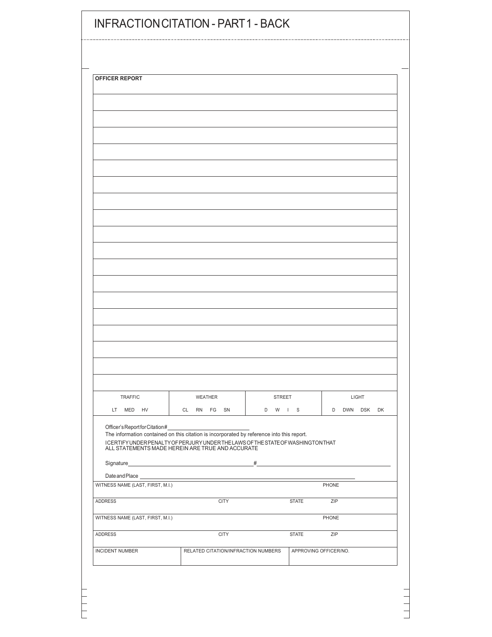| OFFICER REPORT                                                                                                |                                                                                                                                      |         |                                       |              |  |
|---------------------------------------------------------------------------------------------------------------|--------------------------------------------------------------------------------------------------------------------------------------|---------|---------------------------------------|--------------|--|
|                                                                                                               |                                                                                                                                      |         |                                       |              |  |
|                                                                                                               |                                                                                                                                      |         |                                       |              |  |
|                                                                                                               |                                                                                                                                      |         |                                       |              |  |
|                                                                                                               |                                                                                                                                      |         |                                       |              |  |
|                                                                                                               |                                                                                                                                      |         |                                       |              |  |
|                                                                                                               |                                                                                                                                      |         |                                       |              |  |
|                                                                                                               |                                                                                                                                      |         |                                       |              |  |
|                                                                                                               |                                                                                                                                      |         |                                       |              |  |
|                                                                                                               |                                                                                                                                      |         |                                       |              |  |
|                                                                                                               |                                                                                                                                      |         |                                       |              |  |
|                                                                                                               |                                                                                                                                      |         |                                       |              |  |
|                                                                                                               |                                                                                                                                      |         |                                       |              |  |
|                                                                                                               |                                                                                                                                      |         |                                       |              |  |
|                                                                                                               |                                                                                                                                      |         |                                       |              |  |
|                                                                                                               |                                                                                                                                      |         |                                       |              |  |
|                                                                                                               |                                                                                                                                      |         |                                       |              |  |
|                                                                                                               |                                                                                                                                      |         |                                       |              |  |
|                                                                                                               |                                                                                                                                      |         |                                       |              |  |
|                                                                                                               |                                                                                                                                      |         |                                       |              |  |
|                                                                                                               |                                                                                                                                      |         |                                       |              |  |
|                                                                                                               |                                                                                                                                      |         |                                       |              |  |
|                                                                                                               |                                                                                                                                      |         |                                       |              |  |
|                                                                                                               |                                                                                                                                      |         |                                       |              |  |
| TRAFFIC                                                                                                       | WEATHER                                                                                                                              | STREET  |                                       | LIGHT        |  |
| LT MED HV                                                                                                     | CL RN FG SN                                                                                                                          | D W I S |                                       | D DWN DSK DK |  |
|                                                                                                               | The information contained on this citation is incorporated by reference into this report.                                            |         |                                       |              |  |
|                                                                                                               | ICERTIFY UNDER PENALTY OF PERJURY UNDER THE LAWS OF THE STATE OF WASHINGTON THAT<br>ALL STATEMENTS MADE HEREIN ARE TRUE AND ACCURATE |         |                                       |              |  |
|                                                                                                               |                                                                                                                                      |         |                                       |              |  |
| Date and Place ______________                                                                                 |                                                                                                                                      |         |                                       |              |  |
|                                                                                                               |                                                                                                                                      |         |                                       | PHONE        |  |
|                                                                                                               | <b>CITY</b>                                                                                                                          |         | <b>STATE</b>                          | ZIP          |  |
|                                                                                                               |                                                                                                                                      |         |                                       | PHONE        |  |
|                                                                                                               |                                                                                                                                      |         |                                       |              |  |
| WITNESS NAME (LAST, FIRST, M.I.)<br>ADDRESS<br>WITNESS NAME (LAST, FIRST, M.I.)<br>ADDRESS<br>INCIDENT NUMBER | <b>CITY</b><br>RELATED CITATION/INFRACTION NUMBERS                                                                                   |         | <b>STATE</b><br>APPROVING OFFICER/NO. | ZIP          |  |

 $\frac{1}{1}$ 

 $\frac{1}{2}$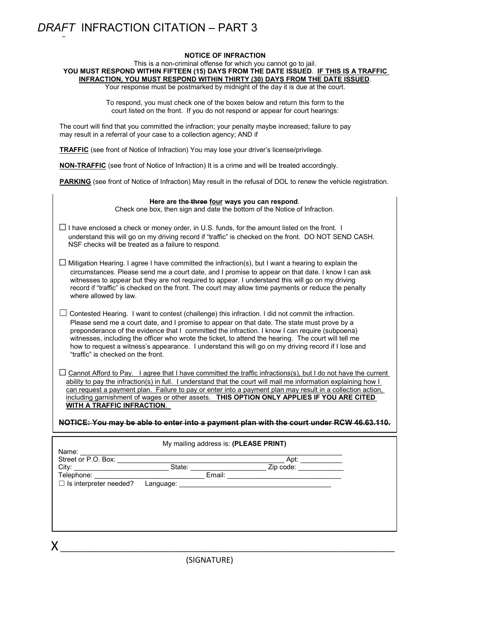## *DRAFT* INFRACTION CITATION – PART 3

C

#### **NOTICE OF INFRACTION**

This is a non-criminal offense for which you cannot go to jail. **YOU MUST RESPOND WITHIN FIFTEEN (15) DAYS FROM THE DATE ISSUED**. **IF THIS IS A TRAFFIC INFRACTION, YOU MUST RESPOND WITHIN THIRTY (30) DAYS FROM THE DATE ISSUED.** 

Your response must be postmarked by midnight of the day it is due at the court.

To respond, you must check one of the boxes below and return this form to the court listed on the front. If you do not respond or appear for court hearings:

The court will find that you committed the infraction; your penalty maybe increased; failure to pay may result in a referral of your case to a collection agency; AND if

**TRAFFIC** (see front of Notice of Infraction) You may lose your driver's license/privilege.

**NON-TRAFFIC** (see front of Notice of Infraction) It is a crime and will be treated accordingly.

**PARKING** (see front of Notice of Infraction) May result in the refusal of DOL to renew the vehicle registration.

|                                    | Here are the three four ways you can respond.<br>Check one box, then sign and date the bottom of the Notice of Infraction.                                                                                                    |                                                                                                                                                                                                                                                                                                                                                                                                                              |
|------------------------------------|-------------------------------------------------------------------------------------------------------------------------------------------------------------------------------------------------------------------------------|------------------------------------------------------------------------------------------------------------------------------------------------------------------------------------------------------------------------------------------------------------------------------------------------------------------------------------------------------------------------------------------------------------------------------|
|                                    |                                                                                                                                                                                                                               |                                                                                                                                                                                                                                                                                                                                                                                                                              |
|                                    | NSF checks will be treated as a failure to respond.                                                                                                                                                                           | $\Box$ I have enclosed a check or money order, in U.S. funds, for the amount listed on the front. I<br>understand this will go on my driving record if "traffic" is checked on the front. DO NOT SEND CASH.                                                                                                                                                                                                                  |
|                                    |                                                                                                                                                                                                                               |                                                                                                                                                                                                                                                                                                                                                                                                                              |
| where allowed by law.              |                                                                                                                                                                                                                               | $\Box$ Mitigation Hearing. I agree I have committed the infraction(s), but I want a hearing to explain the<br>circumstances. Please send me a court date, and I promise to appear on that date. I know I can ask<br>witnesses to appear but they are not required to appear. I understand this will go on my driving<br>record if "traffic" is checked on the front. The court may allow time payments or reduce the penalty |
|                                    |                                                                                                                                                                                                                               | $\perp$ Contested Hearing. I want to contest (challenge) this infraction. I did not commit the infraction.                                                                                                                                                                                                                                                                                                                   |
|                                    |                                                                                                                                                                                                                               | Please send me a court date, and I promise to appear on that date. The state must prove by a                                                                                                                                                                                                                                                                                                                                 |
|                                    |                                                                                                                                                                                                                               | preponderance of the evidence that I committed the infraction. I know I can require (subpoena)                                                                                                                                                                                                                                                                                                                               |
|                                    |                                                                                                                                                                                                                               | witnesses, including the officer who wrote the ticket, to attend the hearing. The court will tell me<br>how to request a witness's appearance. I understand this will go on my driving record if I lose and                                                                                                                                                                                                                  |
| "traffic" is checked on the front. |                                                                                                                                                                                                                               |                                                                                                                                                                                                                                                                                                                                                                                                                              |
|                                    |                                                                                                                                                                                                                               |                                                                                                                                                                                                                                                                                                                                                                                                                              |
|                                    |                                                                                                                                                                                                                               | $\Box$ Cannot Afford to Pay. I agree that I have committed the traffic infractions(s), but I do not have the current                                                                                                                                                                                                                                                                                                         |
|                                    |                                                                                                                                                                                                                               | ability to pay the infraction(s) in full. I understand that the court will mail me information explaining how I                                                                                                                                                                                                                                                                                                              |
|                                    |                                                                                                                                                                                                                               | can request a payment plan. Failure to pay or enter into a payment plan may result in a collection action,                                                                                                                                                                                                                                                                                                                   |
|                                    |                                                                                                                                                                                                                               |                                                                                                                                                                                                                                                                                                                                                                                                                              |
| WITH A TRAFFIC INFRACTION.         |                                                                                                                                                                                                                               | including garnishment of wages or other assets. THIS OPTION ONLY APPLIES IF YOU ARE CITED                                                                                                                                                                                                                                                                                                                                    |
|                                    |                                                                                                                                                                                                                               |                                                                                                                                                                                                                                                                                                                                                                                                                              |
|                                    |                                                                                                                                                                                                                               | NOTICE: You may be able to enter into a payment plan with the court under RCW 46.63.110.                                                                                                                                                                                                                                                                                                                                     |
|                                    |                                                                                                                                                                                                                               |                                                                                                                                                                                                                                                                                                                                                                                                                              |
|                                    | My mailing address is: (PLEASE PRINT)                                                                                                                                                                                         |                                                                                                                                                                                                                                                                                                                                                                                                                              |
| Street or P.O. Box:                |                                                                                                                                                                                                                               |                                                                                                                                                                                                                                                                                                                                                                                                                              |
|                                    |                                                                                                                                                                                                                               |                                                                                                                                                                                                                                                                                                                                                                                                                              |
|                                    |                                                                                                                                                                                                                               |                                                                                                                                                                                                                                                                                                                                                                                                                              |
| $\Box$ Is interpreter needed?      | Language: the contract of the contract of the contract of the contract of the contract of the contract of the contract of the contract of the contract of the contract of the contract of the contract of the contract of the |                                                                                                                                                                                                                                                                                                                                                                                                                              |
|                                    |                                                                                                                                                                                                                               |                                                                                                                                                                                                                                                                                                                                                                                                                              |
|                                    |                                                                                                                                                                                                                               |                                                                                                                                                                                                                                                                                                                                                                                                                              |
|                                    |                                                                                                                                                                                                                               |                                                                                                                                                                                                                                                                                                                                                                                                                              |
|                                    |                                                                                                                                                                                                                               |                                                                                                                                                                                                                                                                                                                                                                                                                              |
| Χ                                  |                                                                                                                                                                                                                               |                                                                                                                                                                                                                                                                                                                                                                                                                              |

(SIGNATURE)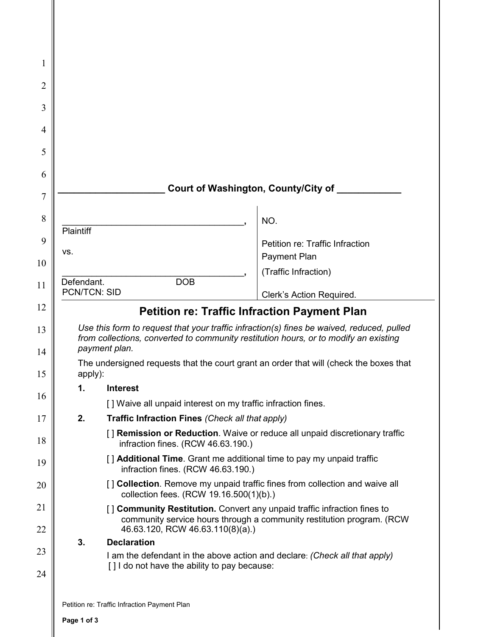| 1                                            |                                   |                                                              |                                                                                                                                                                                   |
|----------------------------------------------|-----------------------------------|--------------------------------------------------------------|-----------------------------------------------------------------------------------------------------------------------------------------------------------------------------------|
| $\overline{2}$                               |                                   |                                                              |                                                                                                                                                                                   |
| 3                                            |                                   |                                                              |                                                                                                                                                                                   |
| 4                                            |                                   |                                                              |                                                                                                                                                                                   |
| 5                                            |                                   |                                                              |                                                                                                                                                                                   |
| 6                                            |                                   |                                                              |                                                                                                                                                                                   |
| 7                                            |                                   |                                                              | Court of Washington, County/City of                                                                                                                                               |
| 8                                            | Plaintiff                         |                                                              | NO.                                                                                                                                                                               |
| 9                                            | VS.                               |                                                              | Petition re: Traffic Infraction                                                                                                                                                   |
| 10                                           |                                   |                                                              | Payment Plan<br>(Traffic Infraction)                                                                                                                                              |
| 11                                           | Defendant.<br><b>PCN/TCN: SID</b> | <b>DOB</b>                                                   |                                                                                                                                                                                   |
| 12                                           |                                   |                                                              | Clerk's Action Required.<br><b>Petition re: Traffic Infraction Payment Plan</b>                                                                                                   |
|                                              |                                   |                                                              |                                                                                                                                                                                   |
|                                              |                                   | payment plan.                                                | Use this form to request that your traffic infraction(s) fines be waived, reduced, pulled<br>from collections, converted to community restitution hours, or to modify an existing |
|                                              |                                   |                                                              | The undersigned requests that the court grant an order that will (check the boxes that                                                                                            |
|                                              | apply):<br>1.                     | <b>Interest</b>                                              |                                                                                                                                                                                   |
|                                              |                                   | [] Waive all unpaid interest on my traffic infraction fines. |                                                                                                                                                                                   |
|                                              | 2.                                | Traffic Infraction Fines (Check all that apply)              |                                                                                                                                                                                   |
|                                              |                                   | infraction fines. (RCW 46.63.190.)                           | [] Remission or Reduction. Waive or reduce all unpaid discretionary traffic                                                                                                       |
|                                              |                                   | infraction fines. (RCW 46.63.190.)                           | [] Additional Time. Grant me additional time to pay my unpaid traffic                                                                                                             |
| 13<br>14<br>15<br>16<br>17<br>18<br>19<br>20 |                                   |                                                              | [] Collection. Remove my unpaid traffic fines from collection and waive all                                                                                                       |
|                                              |                                   | collection fees. (RCW 19.16.500(1)(b).)                      | [] Community Restitution. Convert any unpaid traffic infraction fines to<br>community service hours through a community restitution program. (RCW                                 |
|                                              | 3.                                | 46.63.120, RCW 46.63.110(8)(a).)<br><b>Declaration</b>       |                                                                                                                                                                                   |
| 21<br>22<br>23<br>24                         |                                   | [] I do not have the ability to pay because:                 | I am the defendant in the above action and declare: (Check all that apply)                                                                                                        |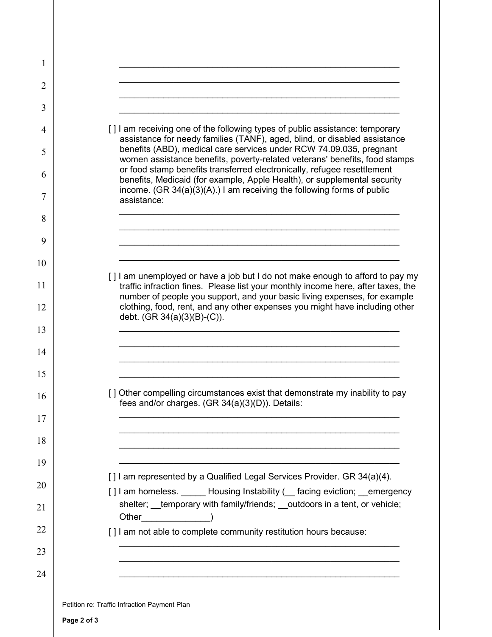| 1  |                                                                                                                                                                                                                              |
|----|------------------------------------------------------------------------------------------------------------------------------------------------------------------------------------------------------------------------------|
| 2  |                                                                                                                                                                                                                              |
| 3  |                                                                                                                                                                                                                              |
| 4  | [] am receiving one of the following types of public assistance: temporary<br>assistance for needy families (TANF), aged, blind, or disabled assistance                                                                      |
| 5  | benefits (ABD), medical care services under RCW 74.09.035, pregnant<br>women assistance benefits, poverty-related veterans' benefits, food stamps<br>or food stamp benefits transferred electronically, refugee resettlement |
| 6  | benefits, Medicaid (for example, Apple Health), or supplemental security<br>income. $(GR 34(a)(3)(A))$ I am receiving the following forms of public                                                                          |
| 7  | assistance:                                                                                                                                                                                                                  |
| 8  |                                                                                                                                                                                                                              |
| 9  |                                                                                                                                                                                                                              |
| 10 | [] am unemployed or have a job but I do not make enough to afford to pay my                                                                                                                                                  |
| 11 | traffic infraction fines. Please list your monthly income here, after taxes, the<br>number of people you support, and your basic living expenses, for example                                                                |
| 12 | clothing, food, rent, and any other expenses you might have including other<br>debt. (GR 34(a)(3)(B)-(C)).                                                                                                                   |
| 13 |                                                                                                                                                                                                                              |
| 14 |                                                                                                                                                                                                                              |
| 15 |                                                                                                                                                                                                                              |
| 16 | [] Other compelling circumstances exist that demonstrate my inability to pay<br>fees and/or charges. (GR 34(a)(3)(D)). Details:                                                                                              |
| 17 |                                                                                                                                                                                                                              |
| 18 |                                                                                                                                                                                                                              |
| 19 | [] I am represented by a Qualified Legal Services Provider. GR 34(a)(4).                                                                                                                                                     |
| 20 | [] I am homeless. ______ Housing Instability (__ facing eviction; __emergency                                                                                                                                                |
| 21 | shelter; _temporary with family/friends; _outdoors in a tent, or vehicle;<br>Other (b)                                                                                                                                       |
| 22 | [] I am not able to complete community restitution hours because:                                                                                                                                                            |
| 23 |                                                                                                                                                                                                                              |
| 24 |                                                                                                                                                                                                                              |
|    |                                                                                                                                                                                                                              |
|    | Petition re: Traffic Infraction Payment Plan                                                                                                                                                                                 |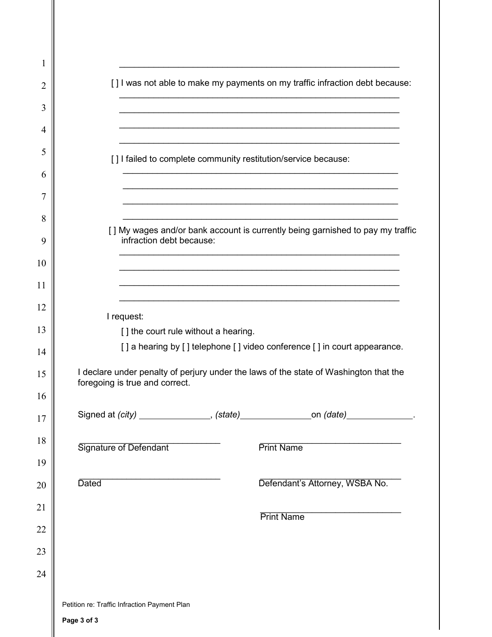| 1  |                                                                                                                         |
|----|-------------------------------------------------------------------------------------------------------------------------|
| 2  | [] I was not able to make my payments on my traffic infraction debt because:                                            |
| 3  |                                                                                                                         |
| 4  |                                                                                                                         |
| 5  | [] I failed to complete community restitution/service because:                                                          |
| 6  |                                                                                                                         |
| 7  |                                                                                                                         |
| 8  | [] My wages and/or bank account is currently being garnished to pay my traffic                                          |
| 9  | infraction debt because:                                                                                                |
| 10 |                                                                                                                         |
| 11 |                                                                                                                         |
| 12 | I request:                                                                                                              |
| 13 | [] the court rule without a hearing.                                                                                    |
| 14 | [] a hearing by [] telephone [] video conference [] in court appearance.                                                |
| 15 | I declare under penalty of perjury under the laws of the state of Washington that the<br>foregoing is true and correct. |
| 16 |                                                                                                                         |
| 17 | Signed at (city) _______________, (state) _________________on (date) _____________.                                     |
| 18 | Signature of Defendant<br><b>Print Name</b>                                                                             |
| 19 |                                                                                                                         |
| 20 | Defendant's Attorney, WSBA No.<br><b>Dated</b>                                                                          |
| 21 | <b>Print Name</b>                                                                                                       |
| 22 |                                                                                                                         |
| 23 |                                                                                                                         |
| 24 |                                                                                                                         |
|    | Petition re: Traffic Infraction Payment Plan                                                                            |
|    | Page 3 of 3                                                                                                             |
|    |                                                                                                                         |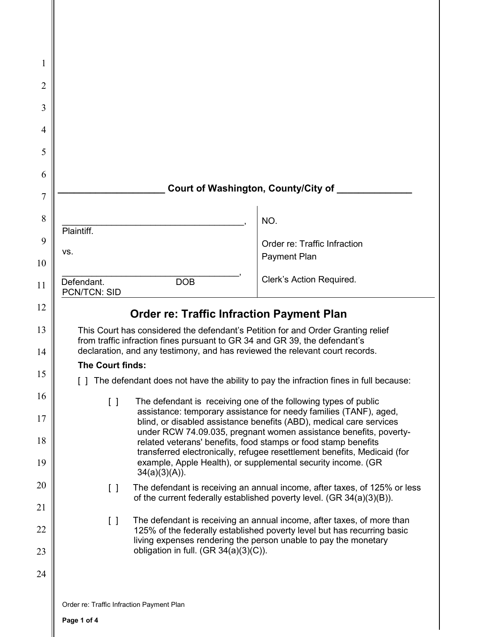| 1              |                                                                                                                                                                                                                                                |                                                                                                                                                                                                            |
|----------------|------------------------------------------------------------------------------------------------------------------------------------------------------------------------------------------------------------------------------------------------|------------------------------------------------------------------------------------------------------------------------------------------------------------------------------------------------------------|
| $\overline{2}$ |                                                                                                                                                                                                                                                |                                                                                                                                                                                                            |
| 3              |                                                                                                                                                                                                                                                |                                                                                                                                                                                                            |
|                |                                                                                                                                                                                                                                                |                                                                                                                                                                                                            |
| 4              |                                                                                                                                                                                                                                                |                                                                                                                                                                                                            |
| 5              |                                                                                                                                                                                                                                                |                                                                                                                                                                                                            |
| 6              |                                                                                                                                                                                                                                                | Court of Washington, County/City of                                                                                                                                                                        |
| 7              |                                                                                                                                                                                                                                                |                                                                                                                                                                                                            |
| 8              |                                                                                                                                                                                                                                                | NO.                                                                                                                                                                                                        |
| 9              | Plaintiff.                                                                                                                                                                                                                                     | Order re: Traffic Infraction                                                                                                                                                                               |
| 10             | VS.                                                                                                                                                                                                                                            | <b>Payment Plan</b>                                                                                                                                                                                        |
| 11             | Defendant.<br><b>DOB</b><br><b>PCN/TCN: SID</b>                                                                                                                                                                                                | Clerk's Action Required.                                                                                                                                                                                   |
| 12             | <b>Order re: Traffic Infraction Payment Plan</b>                                                                                                                                                                                               |                                                                                                                                                                                                            |
| 13<br>14       | This Court has considered the defendant's Petition for and Order Granting relief<br>from traffic infraction fines pursuant to GR 34 and GR 39, the defendant's<br>declaration, and any testimony, and has reviewed the relevant court records. |                                                                                                                                                                                                            |
|                | The Court finds:                                                                                                                                                                                                                               |                                                                                                                                                                                                            |
| 15             |                                                                                                                                                                                                                                                | The defendant does not have the ability to pay the infraction fines in full because:                                                                                                                       |
| 16             | $\begin{bmatrix} \end{bmatrix}$                                                                                                                                                                                                                | The defendant is receiving one of the following types of public<br>assistance: temporary assistance for needy families (TANF), aged,                                                                       |
| 17<br>18       |                                                                                                                                                                                                                                                | blind, or disabled assistance benefits (ABD), medical care services<br>under RCW 74.09.035, pregnant women assistance benefits, poverty-<br>related veterans' benefits, food stamps or food stamp benefits |
| 19             |                                                                                                                                                                                                                                                | transferred electronically, refugee resettlement benefits, Medicaid (for<br>example, Apple Health), or supplemental security income. (GR                                                                   |
| 20             | $34(a)(3)(A)$ ).<br>$\Box$                                                                                                                                                                                                                     | The defendant is receiving an annual income, after taxes, of 125% or less                                                                                                                                  |
| 21             |                                                                                                                                                                                                                                                | of the current federally established poverty level. (GR 34(a)(3)(B)).                                                                                                                                      |
| 22             | $\Box$                                                                                                                                                                                                                                         | The defendant is receiving an annual income, after taxes, of more than<br>125% of the federally established poverty level but has recurring basic                                                          |
| 23             | obligation in full. $(GR 34(a)(3)(C))$ .                                                                                                                                                                                                       | living expenses rendering the person unable to pay the monetary                                                                                                                                            |
| 24             |                                                                                                                                                                                                                                                |                                                                                                                                                                                                            |
|                |                                                                                                                                                                                                                                                |                                                                                                                                                                                                            |
|                | Order re: Traffic Infraction Payment Plan                                                                                                                                                                                                      |                                                                                                                                                                                                            |

 $\parallel$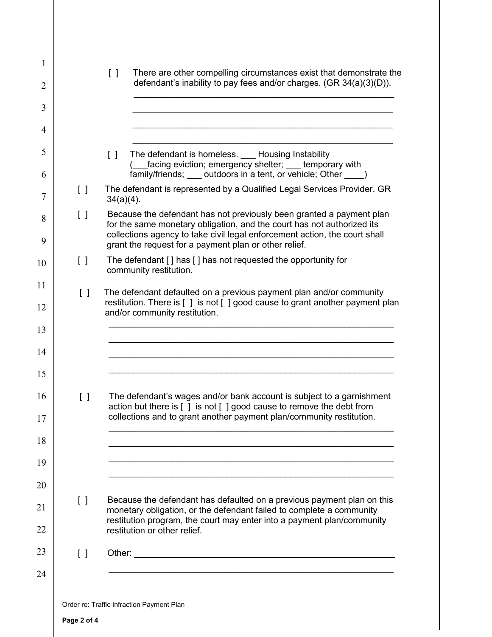| 1              |                                         | There are other compelling circumstances exist that demonstrate the                                                                                                                |
|----------------|-----------------------------------------|------------------------------------------------------------------------------------------------------------------------------------------------------------------------------------|
| $\overline{2}$ |                                         | $\Box$<br>defendant's inability to pay fees and/or charges. (GR 34(a)(3)(D)).                                                                                                      |
| 3              |                                         |                                                                                                                                                                                    |
| 4              |                                         |                                                                                                                                                                                    |
| 5              |                                         | $\begin{bmatrix} 1 \end{bmatrix}$<br>The defendant is homeless. Housing Instability                                                                                                |
| 6              |                                         | facing eviction; emergency shelter; __ temporary with<br>family/friends; ____ outdoors in a tent, or vehicle; Other _____ )                                                        |
| 7              | $\begin{bmatrix} 1 \end{bmatrix}$       | The defendant is represented by a Qualified Legal Services Provider. GR<br>$34(a)(4)$ .                                                                                            |
| 8              | $\left[ \ \right]$                      | Because the defendant has not previously been granted a payment plan<br>for the same monetary obligation, and the court has not authorized its                                     |
| 9              |                                         | collections agency to take civil legal enforcement action, the court shall<br>grant the request for a payment plan or other relief.                                                |
| 10             | $\left[ \quad \right]$                  | The defendant [] has [] has not requested the opportunity for<br>community restitution.                                                                                            |
| 11             | $\begin{bmatrix} \end{bmatrix}$         | The defendant defaulted on a previous payment plan and/or community                                                                                                                |
| 12             |                                         | restitution. There is [ ] is not [ ] good cause to grant another payment plan<br>and/or community restitution.                                                                     |
| 13             |                                         |                                                                                                                                                                                    |
| 14             |                                         |                                                                                                                                                                                    |
| 15             |                                         |                                                                                                                                                                                    |
| 16             | $\begin{bmatrix} 1 \end{bmatrix}$       | The defendant's wages and/or bank account is subject to a garnishment<br>action but there is $\lceil \cdot \rceil$ is not $\lceil \cdot \rceil$ good cause to remove the debt from |
| 17             |                                         | collections and to grant another payment plan/community restitution.                                                                                                               |
| 18             |                                         |                                                                                                                                                                                    |
| 19             |                                         |                                                                                                                                                                                    |
| 20             |                                         |                                                                                                                                                                                    |
| 21             | $\begin{bmatrix} 1 \end{bmatrix}$       | Because the defendant has defaulted on a previous payment plan on this<br>monetary obligation, or the defendant failed to complete a community                                     |
| 22             |                                         | restitution program, the court may enter into a payment plan/community<br>restitution or other relief.                                                                             |
| 23             | $\begin{smallmatrix} \end{smallmatrix}$ | Other:                                                                                                                                                                             |
| 24             |                                         |                                                                                                                                                                                    |
|                |                                         |                                                                                                                                                                                    |
|                |                                         | Order re: Traffic Infraction Payment Plan                                                                                                                                          |
|                | Page 2 of 4                             |                                                                                                                                                                                    |

 $\mathsf{II}$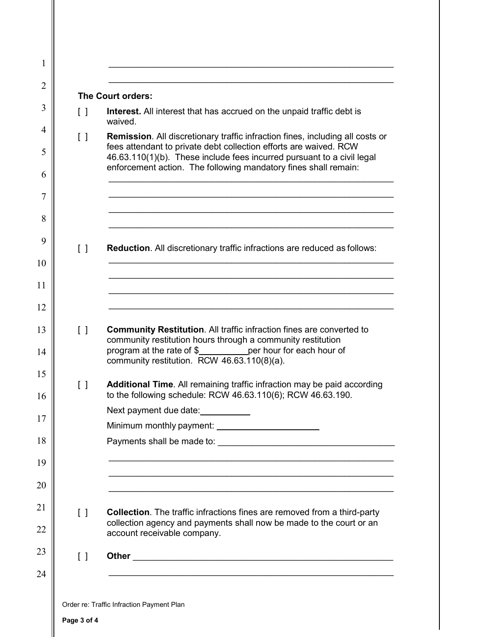|                                   | The Court orders:                                                                                                                                                                                                                                                                                      |
|-----------------------------------|--------------------------------------------------------------------------------------------------------------------------------------------------------------------------------------------------------------------------------------------------------------------------------------------------------|
| $\Box$                            | <b>Interest.</b> All interest that has accrued on the unpaid traffic debt is<br>waived.                                                                                                                                                                                                                |
| $\Box$                            | <b>Remission.</b> All discretionary traffic infraction fines, including all costs or<br>fees attendant to private debt collection efforts are waived. RCW<br>46.63.110(1)(b). These include fees incurred pursuant to a civil legal<br>enforcement action. The following mandatory fines shall remain: |
| $\begin{bmatrix} 1 \end{bmatrix}$ | <b>Reduction.</b> All discretionary traffic infractions are reduced as follows:                                                                                                                                                                                                                        |
| $\begin{bmatrix} 1 \end{bmatrix}$ | <b>Community Restitution.</b> All traffic infraction fines are converted to<br>community restitution hours through a community restitution                                                                                                                                                             |
| $\Box$                            | program at the rate of $$$<br>per hour for each hour of<br>community restitution. RCW 46.63.110(8)(a).<br><b>Additional Time.</b> All remaining traffic infraction may be paid according                                                                                                               |
|                                   | to the following schedule: RCW 46.63.110(6); RCW 46.63.190.<br>Next payment due date:                                                                                                                                                                                                                  |
|                                   |                                                                                                                                                                                                                                                                                                        |
| $\begin{bmatrix} \end{bmatrix}$   | <b>Collection</b> . The traffic infractions fines are removed from a third-party<br>collection agency and payments shall now be made to the court or an<br>account receivable company.                                                                                                                 |
| $\begin{bmatrix} 1 \end{bmatrix}$ |                                                                                                                                                                                                                                                                                                        |